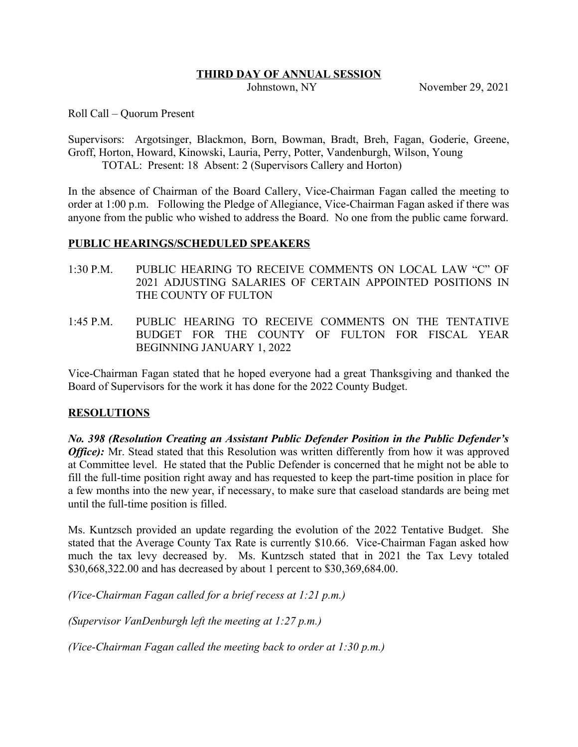#### **THIRD DAY OF ANNUAL SESSION**

Johnstown, NY November 29, 2021

Roll Call – Quorum Present

Supervisors: Argotsinger, Blackmon, Born, Bowman, Bradt, Breh, Fagan, Goderie, Greene, Groff, Horton, Howard, Kinowski, Lauria, Perry, Potter, Vandenburgh, Wilson, Young TOTAL: Present: 18 Absent: 2 (Supervisors Callery and Horton)

In the absence of Chairman of the Board Callery, Vice-Chairman Fagan called the meeting to order at 1:00 p.m. Following the Pledge of Allegiance, Vice-Chairman Fagan asked if there was anyone from the public who wished to address the Board. No one from the public came forward.

#### **PUBLIC HEARINGS/SCHEDULED SPEAKERS**

- 1:30 P.M. PUBLIC HEARING TO RECEIVE COMMENTS ON LOCAL LAW "C" OF 2021 ADJUSTING SALARIES OF CERTAIN APPOINTED POSITIONS IN THE COUNTY OF FULTON
- 1:45 P.M. PUBLIC HEARING TO RECEIVE COMMENTS ON THE TENTATIVE BUDGET FOR THE COUNTY OF FULTON FOR FISCAL YEAR BEGINNING JANUARY 1, 2022

Vice-Chairman Fagan stated that he hoped everyone had a great Thanksgiving and thanked the Board of Supervisors for the work it has done for the 2022 County Budget.

#### **RESOLUTIONS**

*No. 398 (Resolution Creating an Assistant Public Defender Position in the Public Defender's Office*: Mr. Stead stated that this Resolution was written differently from how it was approved at Committee level. He stated that the Public Defender is concerned that he might not be able to fill the full-time position right away and has requested to keep the part-time position in place for a few months into the new year, if necessary, to make sure that caseload standards are being met until the full-time position is filled.

Ms. Kuntzsch provided an update regarding the evolution of the 2022 Tentative Budget. She stated that the Average County Tax Rate is currently \$10.66. Vice-Chairman Fagan asked how much the tax levy decreased by. Ms. Kuntzsch stated that in 2021 the Tax Levy totaled \$30,668,322.00 and has decreased by about 1 percent to \$30,369,684.00.

*(Vice-Chairman Fagan called for a brief recess at 1:21 p.m.)*

*(Supervisor VanDenburgh left the meeting at 1:27 p.m.)*

*(Vice-Chairman Fagan called the meeting back to order at 1:30 p.m.)*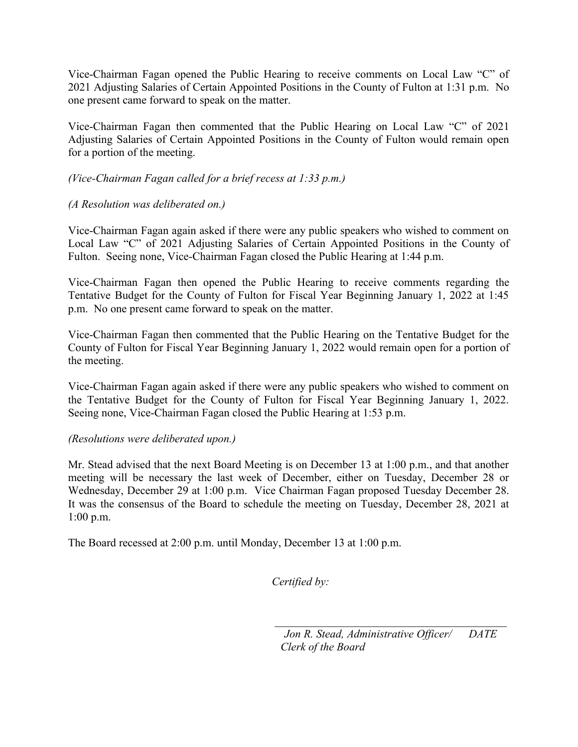Vice-Chairman Fagan opened the Public Hearing to receive comments on Local Law "C" of 2021 Adjusting Salaries of Certain Appointed Positions in the County of Fulton at 1:31 p.m. No one present came forward to speak on the matter.

Vice-Chairman Fagan then commented that the Public Hearing on Local Law "C" of 2021 Adjusting Salaries of Certain Appointed Positions in the County of Fulton would remain open for a portion of the meeting.

# *(Vice-Chairman Fagan called for a brief recess at 1:33 p.m.)*

# *(A Resolution was deliberated on.)*

Vice-Chairman Fagan again asked if there were any public speakers who wished to comment on Local Law "C" of 2021 Adjusting Salaries of Certain Appointed Positions in the County of Fulton. Seeing none, Vice-Chairman Fagan closed the Public Hearing at 1:44 p.m.

Vice-Chairman Fagan then opened the Public Hearing to receive comments regarding the Tentative Budget for the County of Fulton for Fiscal Year Beginning January 1, 2022 at 1:45 p.m. No one present came forward to speak on the matter.

Vice-Chairman Fagan then commented that the Public Hearing on the Tentative Budget for the County of Fulton for Fiscal Year Beginning January 1, 2022 would remain open for a portion of the meeting.

Vice-Chairman Fagan again asked if there were any public speakers who wished to comment on the Tentative Budget for the County of Fulton for Fiscal Year Beginning January 1, 2022. Seeing none, Vice-Chairman Fagan closed the Public Hearing at 1:53 p.m.

# *(Resolutions were deliberated upon.)*

Mr. Stead advised that the next Board Meeting is on December 13 at 1:00 p.m., and that another meeting will be necessary the last week of December, either on Tuesday, December 28 or Wednesday, December 29 at 1:00 p.m. Vice Chairman Fagan proposed Tuesday December 28. It was the consensus of the Board to schedule the meeting on Tuesday, December 28, 2021 at 1:00 p.m.

The Board recessed at 2:00 p.m. until Monday, December 13 at 1:00 p.m.

*Certified by:*

*Jon R. Stead, Administrative Officer/ DATE Clerk of the Board*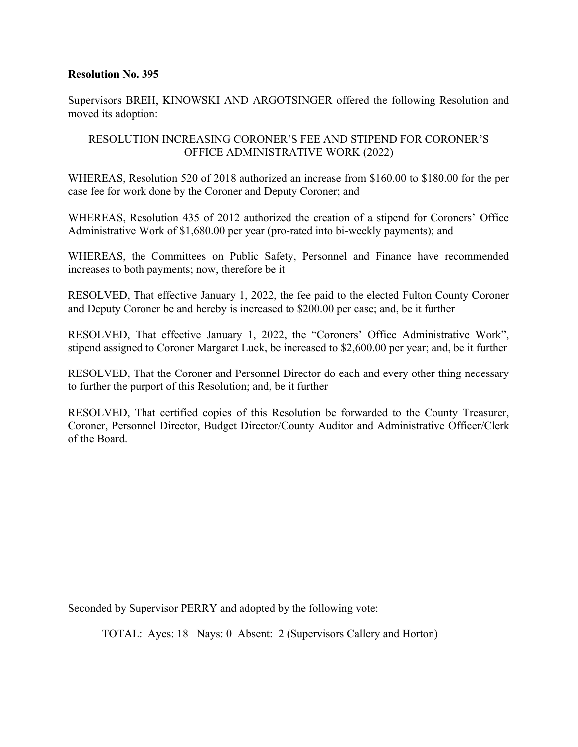Supervisors BREH, KINOWSKI AND ARGOTSINGER offered the following Resolution and moved its adoption:

# RESOLUTION INCREASING CORONER'S FEE AND STIPEND FOR CORONER'S OFFICE ADMINISTRATIVE WORK (2022)

WHEREAS, Resolution 520 of 2018 authorized an increase from \$160.00 to \$180.00 for the per case fee for work done by the Coroner and Deputy Coroner; and

WHEREAS, Resolution 435 of 2012 authorized the creation of a stipend for Coroners' Office Administrative Work of \$1,680.00 per year (pro-rated into bi-weekly payments); and

WHEREAS, the Committees on Public Safety, Personnel and Finance have recommended increases to both payments; now, therefore be it

RESOLVED, That effective January 1, 2022, the fee paid to the elected Fulton County Coroner and Deputy Coroner be and hereby is increased to \$200.00 per case; and, be it further

RESOLVED, That effective January 1, 2022, the "Coroners' Office Administrative Work", stipend assigned to Coroner Margaret Luck, be increased to \$2,600.00 per year; and, be it further

RESOLVED, That the Coroner and Personnel Director do each and every other thing necessary to further the purport of this Resolution; and, be it further

RESOLVED, That certified copies of this Resolution be forwarded to the County Treasurer, Coroner, Personnel Director, Budget Director/County Auditor and Administrative Officer/Clerk of the Board.

Seconded by Supervisor PERRY and adopted by the following vote: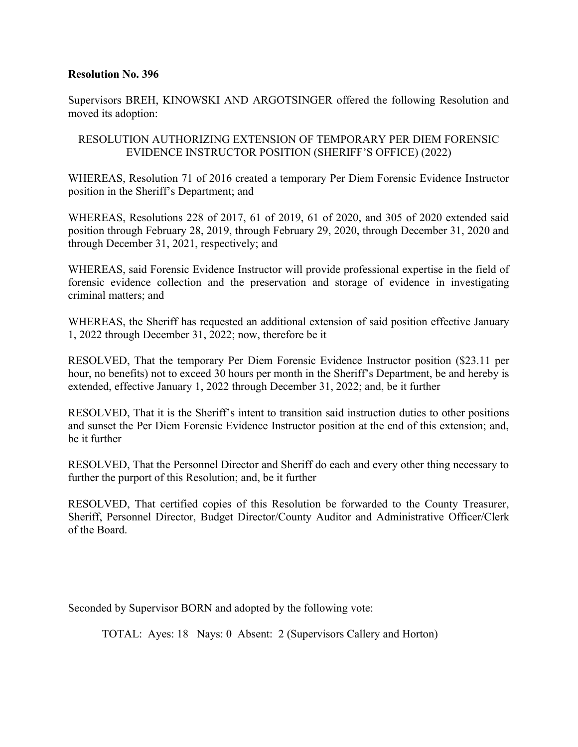Supervisors BREH, KINOWSKI AND ARGOTSINGER offered the following Resolution and moved its adoption:

# RESOLUTION AUTHORIZING EXTENSION OF TEMPORARY PER DIEM FORENSIC EVIDENCE INSTRUCTOR POSITION (SHERIFF'S OFFICE) (2022)

WHEREAS, Resolution 71 of 2016 created a temporary Per Diem Forensic Evidence Instructor position in the Sheriff's Department; and

WHEREAS, Resolutions 228 of 2017, 61 of 2019, 61 of 2020, and 305 of 2020 extended said position through February 28, 2019, through February 29, 2020, through December 31, 2020 and through December 31, 2021, respectively; and

WHEREAS, said Forensic Evidence Instructor will provide professional expertise in the field of forensic evidence collection and the preservation and storage of evidence in investigating criminal matters; and

WHEREAS, the Sheriff has requested an additional extension of said position effective January 1, 2022 through December 31, 2022; now, therefore be it

RESOLVED, That the temporary Per Diem Forensic Evidence Instructor position (\$23.11 per hour, no benefits) not to exceed 30 hours per month in the Sheriff's Department, be and hereby is extended, effective January 1, 2022 through December 31, 2022; and, be it further

RESOLVED, That it is the Sheriff's intent to transition said instruction duties to other positions and sunset the Per Diem Forensic Evidence Instructor position at the end of this extension; and, be it further

RESOLVED, That the Personnel Director and Sheriff do each and every other thing necessary to further the purport of this Resolution; and, be it further

RESOLVED, That certified copies of this Resolution be forwarded to the County Treasurer, Sheriff, Personnel Director, Budget Director/County Auditor and Administrative Officer/Clerk of the Board.

Seconded by Supervisor BORN and adopted by the following vote: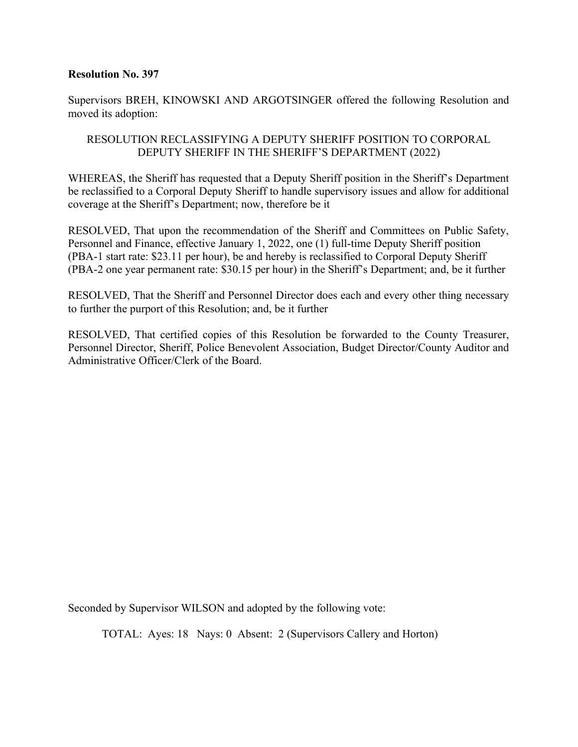Supervisors BREH, KINOWSKI AND ARGOTSINGER offered the following Resolution and moved its adoption:

# RESOLUTION RECLASSIFYING A DEPUTY SHERIFF POSITION TO CORPORAL DEPUTY SHERIFF IN THE SHERIFF'S DEPARTMENT (2022)

WHEREAS, the Sheriff has requested that a Deputy Sheriff position in the Sheriff's Department be reclassified to a Corporal Deputy Sheriff to handle supervisory issues and allow for additional coverage at the Sheriff's Department; now, therefore be it

RESOLVED, That upon the recommendation of the Sheriff and Committees on Public Safety, Personnel and Finance, effective January 1, 2022, one (1) full-time Deputy Sheriff position (PBA-1 start rate: \$23.11 per hour), be and hereby is reclassified to Corporal Deputy Sheriff (PBA-2 one year permanent rate: \$30.15 per hour) in the Sheriff's Department; and, be it further

RESOLVED, That the Sheriff and Personnel Director does each and every other thing necessary to further the purport of this Resolution; and, be it further

RESOLVED, That certified copies of this Resolution be forwarded to the County Treasurer, Personnel Director, Sheriff, Police Benevolent Association, Budget Director/County Auditor and Administrative Officer/Clerk of the Board.

Seconded by Supervisor WILSON and adopted by the following vote: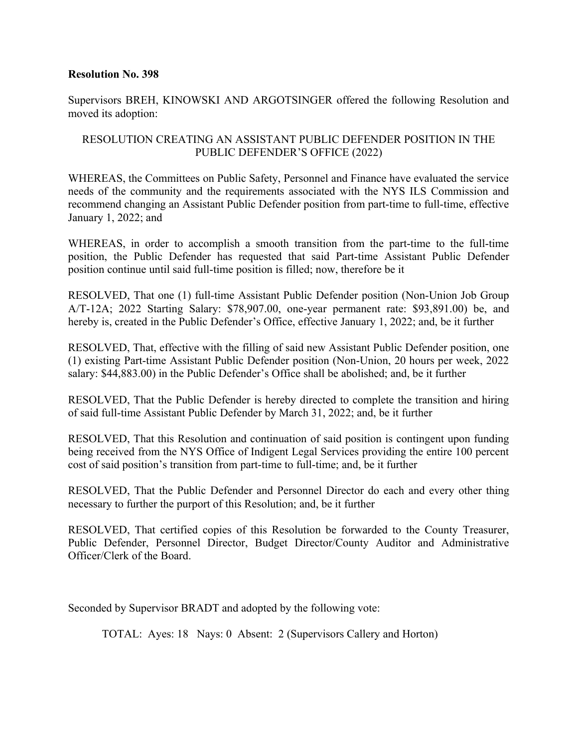Supervisors BREH, KINOWSKI AND ARGOTSINGER offered the following Resolution and moved its adoption:

# RESOLUTION CREATING AN ASSISTANT PUBLIC DEFENDER POSITION IN THE PUBLIC DEFENDER'S OFFICE (2022)

WHEREAS, the Committees on Public Safety, Personnel and Finance have evaluated the service needs of the community and the requirements associated with the NYS ILS Commission and recommend changing an Assistant Public Defender position from part-time to full-time, effective January 1, 2022; and

WHEREAS, in order to accomplish a smooth transition from the part-time to the full-time position, the Public Defender has requested that said Part-time Assistant Public Defender position continue until said full-time position is filled; now, therefore be it

RESOLVED, That one (1) full-time Assistant Public Defender position (Non-Union Job Group A/T-12A; 2022 Starting Salary: \$78,907.00, one-year permanent rate: \$93,891.00) be, and hereby is, created in the Public Defender's Office, effective January 1, 2022; and, be it further

RESOLVED, That, effective with the filling of said new Assistant Public Defender position, one (1) existing Part-time Assistant Public Defender position (Non-Union, 20 hours per week, 2022 salary: \$44,883.00) in the Public Defender's Office shall be abolished; and, be it further

RESOLVED, That the Public Defender is hereby directed to complete the transition and hiring of said full-time Assistant Public Defender by March 31, 2022; and, be it further

RESOLVED, That this Resolution and continuation of said position is contingent upon funding being received from the NYS Office of Indigent Legal Services providing the entire 100 percent cost of said position's transition from part-time to full-time; and, be it further

RESOLVED, That the Public Defender and Personnel Director do each and every other thing necessary to further the purport of this Resolution; and, be it further

RESOLVED, That certified copies of this Resolution be forwarded to the County Treasurer, Public Defender, Personnel Director, Budget Director/County Auditor and Administrative Officer/Clerk of the Board.

Seconded by Supervisor BRADT and adopted by the following vote: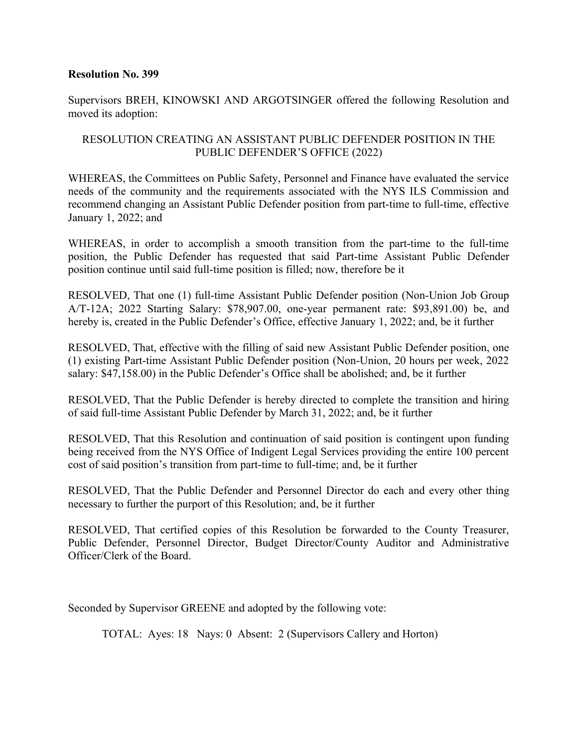Supervisors BREH, KINOWSKI AND ARGOTSINGER offered the following Resolution and moved its adoption:

# RESOLUTION CREATING AN ASSISTANT PUBLIC DEFENDER POSITION IN THE PUBLIC DEFENDER'S OFFICE (2022)

WHEREAS, the Committees on Public Safety, Personnel and Finance have evaluated the service needs of the community and the requirements associated with the NYS ILS Commission and recommend changing an Assistant Public Defender position from part-time to full-time, effective January 1, 2022; and

WHEREAS, in order to accomplish a smooth transition from the part-time to the full-time position, the Public Defender has requested that said Part-time Assistant Public Defender position continue until said full-time position is filled; now, therefore be it

RESOLVED, That one (1) full-time Assistant Public Defender position (Non-Union Job Group A/T-12A; 2022 Starting Salary: \$78,907.00, one-year permanent rate: \$93,891.00) be, and hereby is, created in the Public Defender's Office, effective January 1, 2022; and, be it further

RESOLVED, That, effective with the filling of said new Assistant Public Defender position, one (1) existing Part-time Assistant Public Defender position (Non-Union, 20 hours per week, 2022 salary: \$47,158.00) in the Public Defender's Office shall be abolished; and, be it further

RESOLVED, That the Public Defender is hereby directed to complete the transition and hiring of said full-time Assistant Public Defender by March 31, 2022; and, be it further

RESOLVED, That this Resolution and continuation of said position is contingent upon funding being received from the NYS Office of Indigent Legal Services providing the entire 100 percent cost of said position's transition from part-time to full-time; and, be it further

RESOLVED, That the Public Defender and Personnel Director do each and every other thing necessary to further the purport of this Resolution; and, be it further

RESOLVED, That certified copies of this Resolution be forwarded to the County Treasurer, Public Defender, Personnel Director, Budget Director/County Auditor and Administrative Officer/Clerk of the Board.

Seconded by Supervisor GREENE and adopted by the following vote: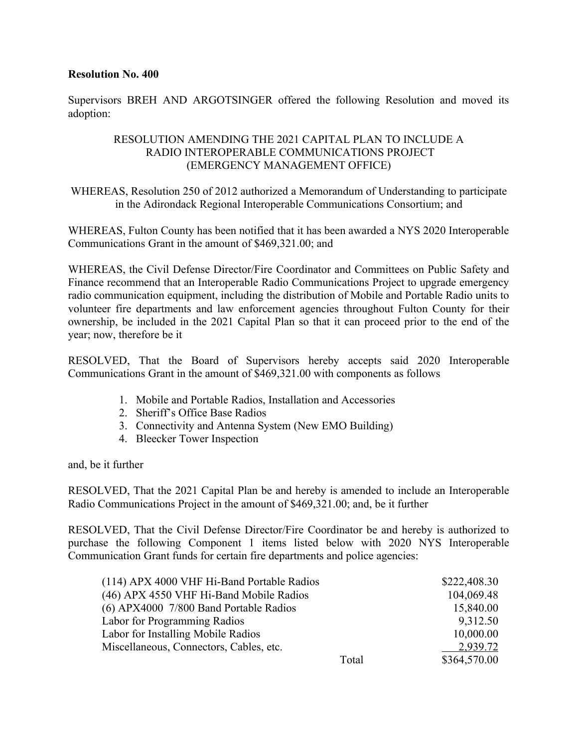Supervisors BREH AND ARGOTSINGER offered the following Resolution and moved its adoption:

# RESOLUTION AMENDING THE 2021 CAPITAL PLAN TO INCLUDE A RADIO INTEROPERABLE COMMUNICATIONS PROJECT (EMERGENCY MANAGEMENT OFFICE)

WHEREAS, Resolution 250 of 2012 authorized a Memorandum of Understanding to participate in the Adirondack Regional Interoperable Communications Consortium; and

WHEREAS, Fulton County has been notified that it has been awarded a NYS 2020 Interoperable Communications Grant in the amount of \$469,321.00; and

WHEREAS, the Civil Defense Director/Fire Coordinator and Committees on Public Safety and Finance recommend that an Interoperable Radio Communications Project to upgrade emergency radio communication equipment, including the distribution of Mobile and Portable Radio units to volunteer fire departments and law enforcement agencies throughout Fulton County for their ownership, be included in the 2021 Capital Plan so that it can proceed prior to the end of the year; now, therefore be it

RESOLVED, That the Board of Supervisors hereby accepts said 2020 Interoperable Communications Grant in the amount of \$469,321.00 with components as follows

- 1. Mobile and Portable Radios, Installation and Accessories
- 2. Sheriff's Office Base Radios
- 3. Connectivity and Antenna System (New EMO Building)
- 4. Bleecker Tower Inspection

and, be it further

RESOLVED, That the 2021 Capital Plan be and hereby is amended to include an Interoperable Radio Communications Project in the amount of \$469,321.00; and, be it further

RESOLVED, That the Civil Defense Director/Fire Coordinator be and hereby is authorized to purchase the following Component 1 items listed below with 2020 NYS Interoperable Communication Grant funds for certain fire departments and police agencies:

| (114) APX 4000 VHF Hi-Band Portable Radios |       | \$222,408.30 |
|--------------------------------------------|-------|--------------|
| (46) APX 4550 VHF Hi-Band Mobile Radios    |       | 104,069.48   |
| $(6)$ APX4000 7/800 Band Portable Radios   |       | 15,840.00    |
| Labor for Programming Radios               |       | 9,312.50     |
| Labor for Installing Mobile Radios         |       | 10,000.00    |
| Miscellaneous, Connectors, Cables, etc.    |       | 2,939.72     |
|                                            | Total | \$364,570.00 |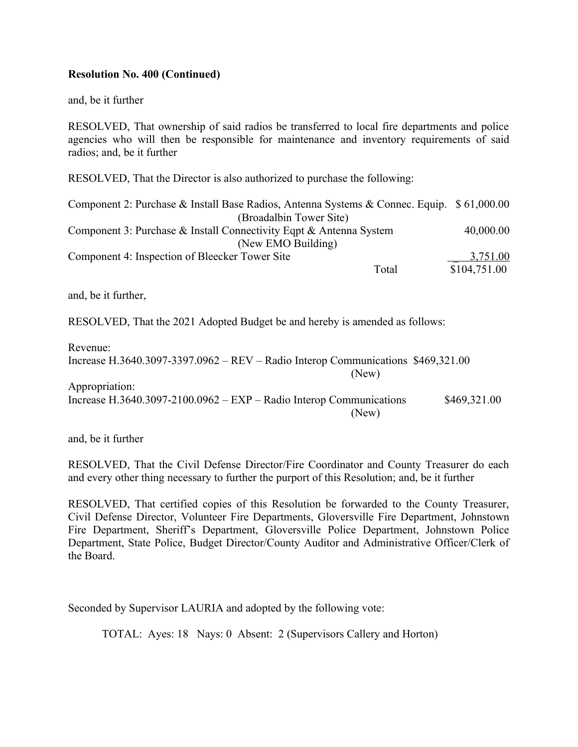# **Resolution No. 400 (Continued)**

and, be it further

RESOLVED, That ownership of said radios be transferred to local fire departments and police agencies who will then be responsible for maintenance and inventory requirements of said radios; and, be it further

RESOLVED, That the Director is also authorized to purchase the following:

| Component 2: Purchase & Install Base Radios, Antenna Systems & Connec. Equip. \$ 61,000.00 |              |
|--------------------------------------------------------------------------------------------|--------------|
| (Broadalbin Tower Site)                                                                    |              |
| Component 3: Purchase & Install Connectivity Eqpt & Antenna System                         | 40,000.00    |
| (New EMO Building)                                                                         |              |
| Component 4: Inspection of Bleecker Tower Site                                             | 3,751.00     |
| Total                                                                                      | \$104,751.00 |

and, be it further,

RESOLVED, That the 2021 Adopted Budget be and hereby is amended as follows:

Revenue: Increase H.3640.3097-3397.0962 – REV – Radio Interop Communications \$469,321.00 (New) Appropriation: Increase H.3640.3097-2100.0962 – EXP – Radio Interop Communications \$469,321.00 (New)

and, be it further

RESOLVED, That the Civil Defense Director/Fire Coordinator and County Treasurer do each and every other thing necessary to further the purport of this Resolution; and, be it further

RESOLVED, That certified copies of this Resolution be forwarded to the County Treasurer, Civil Defense Director, Volunteer Fire Departments, Gloversville Fire Department, Johnstown Fire Department, Sheriff's Department, Gloversville Police Department, Johnstown Police Department, State Police, Budget Director/County Auditor and Administrative Officer/Clerk of the Board.

Seconded by Supervisor LAURIA and adopted by the following vote: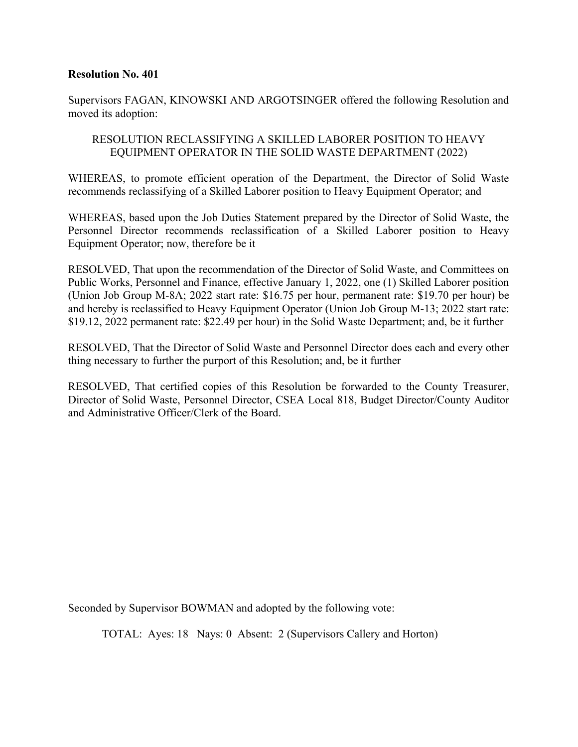Supervisors FAGAN, KINOWSKI AND ARGOTSINGER offered the following Resolution and moved its adoption:

# RESOLUTION RECLASSIFYING A SKILLED LABORER POSITION TO HEAVY EQUIPMENT OPERATOR IN THE SOLID WASTE DEPARTMENT (2022)

WHEREAS, to promote efficient operation of the Department, the Director of Solid Waste recommends reclassifying of a Skilled Laborer position to Heavy Equipment Operator; and

WHEREAS, based upon the Job Duties Statement prepared by the Director of Solid Waste, the Personnel Director recommends reclassification of a Skilled Laborer position to Heavy Equipment Operator; now, therefore be it

RESOLVED, That upon the recommendation of the Director of Solid Waste, and Committees on Public Works, Personnel and Finance, effective January 1, 2022, one (1) Skilled Laborer position (Union Job Group M-8A; 2022 start rate: \$16.75 per hour, permanent rate: \$19.70 per hour) be and hereby is reclassified to Heavy Equipment Operator (Union Job Group M-13; 2022 start rate: \$19.12, 2022 permanent rate: \$22.49 per hour) in the Solid Waste Department; and, be it further

RESOLVED, That the Director of Solid Waste and Personnel Director does each and every other thing necessary to further the purport of this Resolution; and, be it further

RESOLVED, That certified copies of this Resolution be forwarded to the County Treasurer, Director of Solid Waste, Personnel Director, CSEA Local 818, Budget Director/County Auditor and Administrative Officer/Clerk of the Board.

Seconded by Supervisor BOWMAN and adopted by the following vote: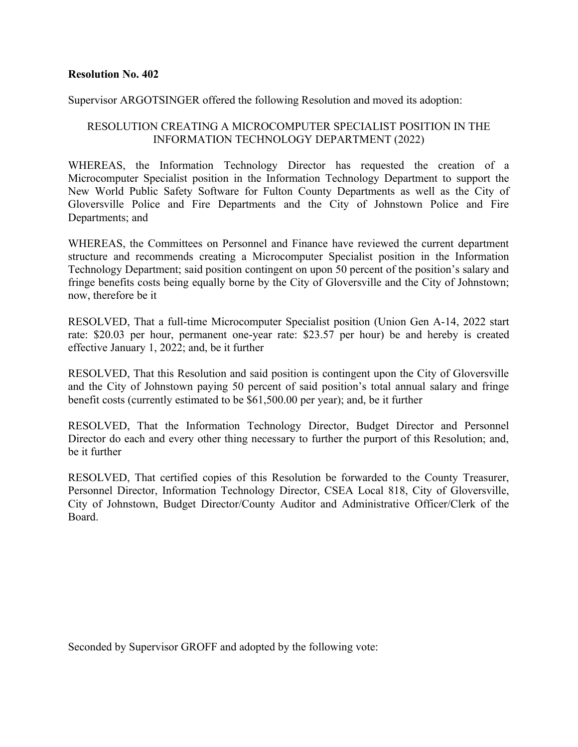#### Supervisor ARGOTSINGER offered the following Resolution and moved its adoption:

## RESOLUTION CREATING A MICROCOMPUTER SPECIALIST POSITION IN THE INFORMATION TECHNOLOGY DEPARTMENT (2022)

WHEREAS, the Information Technology Director has requested the creation of a Microcomputer Specialist position in the Information Technology Department to support the New World Public Safety Software for Fulton County Departments as well as the City of Gloversville Police and Fire Departments and the City of Johnstown Police and Fire Departments; and

WHEREAS, the Committees on Personnel and Finance have reviewed the current department structure and recommends creating a Microcomputer Specialist position in the Information Technology Department; said position contingent on upon 50 percent of the position's salary and fringe benefits costs being equally borne by the City of Gloversville and the City of Johnstown; now, therefore be it

RESOLVED, That a full-time Microcomputer Specialist position (Union Gen A-14, 2022 start rate: \$20.03 per hour, permanent one-year rate: \$23.57 per hour) be and hereby is created effective January 1, 2022; and, be it further

RESOLVED, That this Resolution and said position is contingent upon the City of Gloversville and the City of Johnstown paying 50 percent of said position's total annual salary and fringe benefit costs (currently estimated to be \$61,500.00 per year); and, be it further

RESOLVED, That the Information Technology Director, Budget Director and Personnel Director do each and every other thing necessary to further the purport of this Resolution; and, be it further

RESOLVED, That certified copies of this Resolution be forwarded to the County Treasurer, Personnel Director, Information Technology Director, CSEA Local 818, City of Gloversville, City of Johnstown, Budget Director/County Auditor and Administrative Officer/Clerk of the Board.

Seconded by Supervisor GROFF and adopted by the following vote: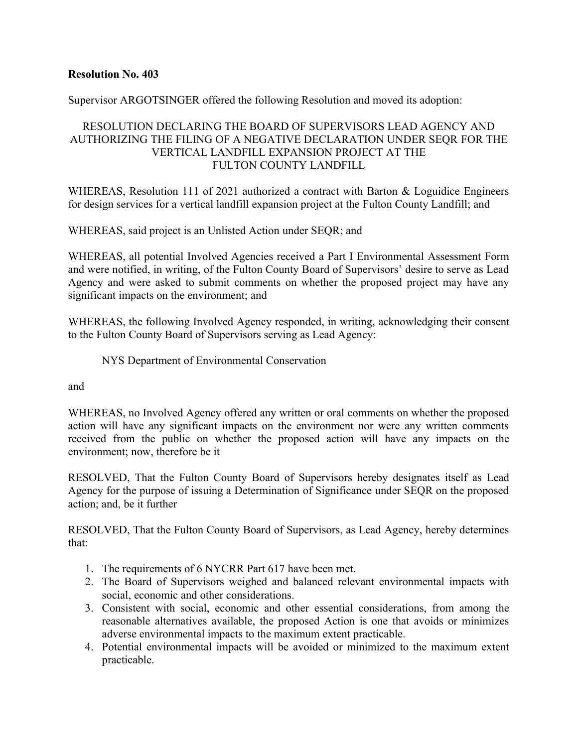Supervisor ARGOTSINGER offered the following Resolution and moved its adoption:

# RESOLUTION DECLARING THE BOARD OF SUPERVISORS LEAD AGENCY AND AUTHORIZING THE FILING OF A NEGATIVE DECLARATION UNDER SEQR FOR THE VERTICAL LANDFILL EXPANSION PROJECT AT THE FULTON COUNTY LANDFILL

WHEREAS, Resolution 111 of 2021 authorized a contract with Barton & Loguidice Engineers for design services for a vertical landfill expansion project at the Fulton County Landfill; and

WHEREAS, said project is an Unlisted Action under SEQR; and

WHEREAS, all potential Involved Agencies received a Part I Environmental Assessment Form and were notified, in writing, of the Fulton County Board of Supervisors' desire to serve as Lead Agency and were asked to submit comments on whether the proposed project may have any significant impacts on the environment; and

WHEREAS, the following Involved Agency responded, in writing, acknowledging their consent to the Fulton County Board of Supervisors serving as Lead Agency:

NYS Department of Environmental Conservation

and

WHEREAS, no Involved Agency offered any written or oral comments on whether the proposed action will have any significant impacts on the environment nor were any written comments received from the public on whether the proposed action will have any impacts on the environment; now, therefore be it

RESOLVED, That the Fulton County Board of Supervisors hereby designates itself as Lead Agency for the purpose of issuing a Determination of Significance under SEQR on the proposed action; and, be it further

RESOLVED, That the Fulton County Board of Supervisors, as Lead Agency, hereby determines that:

- 1. The requirements of 6 NYCRR Part 617 have been met.
- 2. The Board of Supervisors weighed and balanced relevant environmental impacts with social, economic and other considerations.
- 3. Consistent with social, economic and other essential considerations, from among the reasonable alternatives available, the proposed Action is one that avoids or minimizes adverse environmental impacts to the maximum extent practicable.
- 4. Potential environmental impacts will be avoided or minimized to the maximum extent practicable.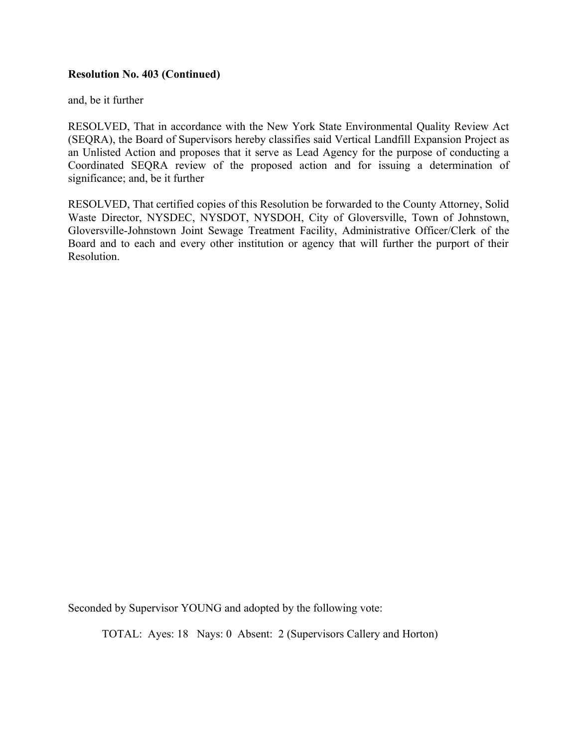#### **Resolution No. 403 (Continued)**

and, be it further

RESOLVED, That in accordance with the New York State Environmental Quality Review Act (SEQRA), the Board of Supervisors hereby classifies said Vertical Landfill Expansion Project as an Unlisted Action and proposes that it serve as Lead Agency for the purpose of conducting a Coordinated SEQRA review of the proposed action and for issuing a determination of significance; and, be it further

RESOLVED, That certified copies of this Resolution be forwarded to the County Attorney, Solid Waste Director, NYSDEC, NYSDOT, NYSDOH, City of Gloversville, Town of Johnstown, Gloversville-Johnstown Joint Sewage Treatment Facility, Administrative Officer/Clerk of the Board and to each and every other institution or agency that will further the purport of their **Resolution** 

Seconded by Supervisor YOUNG and adopted by the following vote: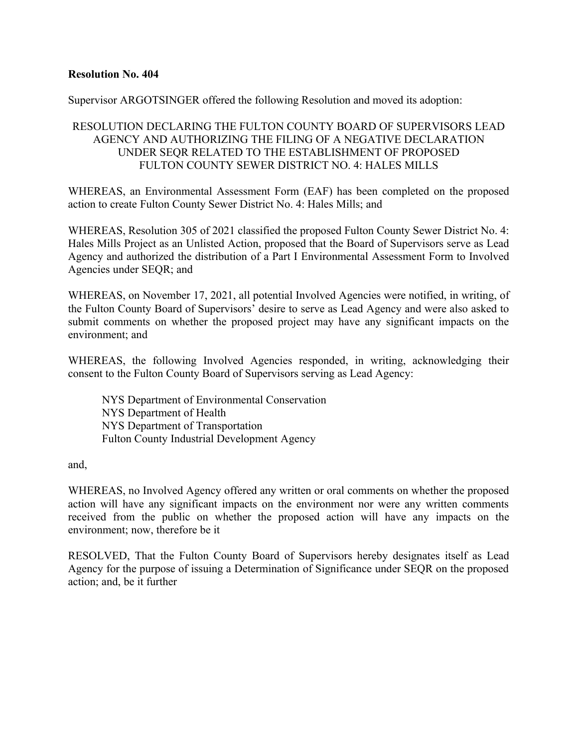Supervisor ARGOTSINGER offered the following Resolution and moved its adoption:

# RESOLUTION DECLARING THE FULTON COUNTY BOARD OF SUPERVISORS LEAD AGENCY AND AUTHORIZING THE FILING OF A NEGATIVE DECLARATION UNDER SEQR RELATED TO THE ESTABLISHMENT OF PROPOSED FULTON COUNTY SEWER DISTRICT NO. 4: HALES MILLS

WHEREAS, an Environmental Assessment Form (EAF) has been completed on the proposed action to create Fulton County Sewer District No. 4: Hales Mills; and

WHEREAS, Resolution 305 of 2021 classified the proposed Fulton County Sewer District No. 4: Hales Mills Project as an Unlisted Action, proposed that the Board of Supervisors serve as Lead Agency and authorized the distribution of a Part I Environmental Assessment Form to Involved Agencies under SEQR; and

WHEREAS, on November 17, 2021, all potential Involved Agencies were notified, in writing, of the Fulton County Board of Supervisors' desire to serve as Lead Agency and were also asked to submit comments on whether the proposed project may have any significant impacts on the environment; and

WHEREAS, the following Involved Agencies responded, in writing, acknowledging their consent to the Fulton County Board of Supervisors serving as Lead Agency:

NYS Department of Environmental Conservation NYS Department of Health NYS Department of Transportation Fulton County Industrial Development Agency

and,

WHEREAS, no Involved Agency offered any written or oral comments on whether the proposed action will have any significant impacts on the environment nor were any written comments received from the public on whether the proposed action will have any impacts on the environment; now, therefore be it

RESOLVED, That the Fulton County Board of Supervisors hereby designates itself as Lead Agency for the purpose of issuing a Determination of Significance under SEQR on the proposed action; and, be it further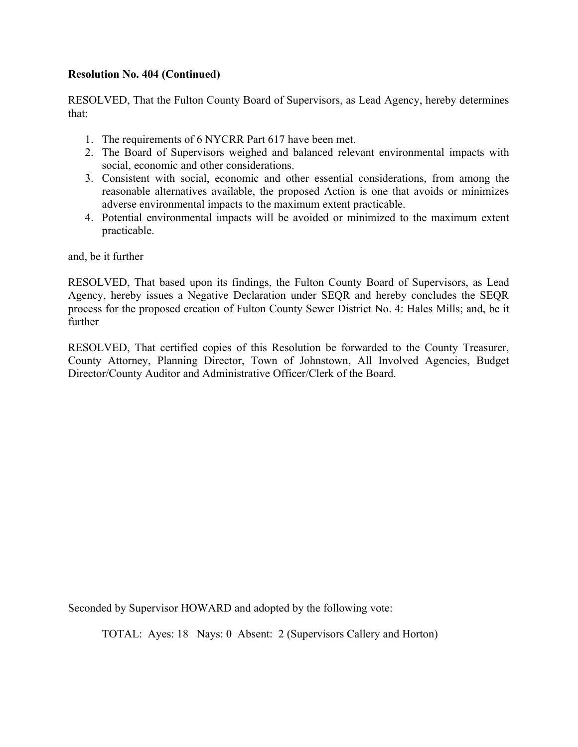# **Resolution No. 404 (Continued)**

RESOLVED, That the Fulton County Board of Supervisors, as Lead Agency, hereby determines that:

- 1. The requirements of 6 NYCRR Part 617 have been met.
- 2. The Board of Supervisors weighed and balanced relevant environmental impacts with social, economic and other considerations.
- 3. Consistent with social, economic and other essential considerations, from among the reasonable alternatives available, the proposed Action is one that avoids or minimizes adverse environmental impacts to the maximum extent practicable.
- 4. Potential environmental impacts will be avoided or minimized to the maximum extent practicable.

and, be it further

RESOLVED, That based upon its findings, the Fulton County Board of Supervisors, as Lead Agency, hereby issues a Negative Declaration under SEQR and hereby concludes the SEQR process for the proposed creation of Fulton County Sewer District No. 4: Hales Mills; and, be it further

RESOLVED, That certified copies of this Resolution be forwarded to the County Treasurer, County Attorney, Planning Director, Town of Johnstown, All Involved Agencies, Budget Director/County Auditor and Administrative Officer/Clerk of the Board.

Seconded by Supervisor HOWARD and adopted by the following vote: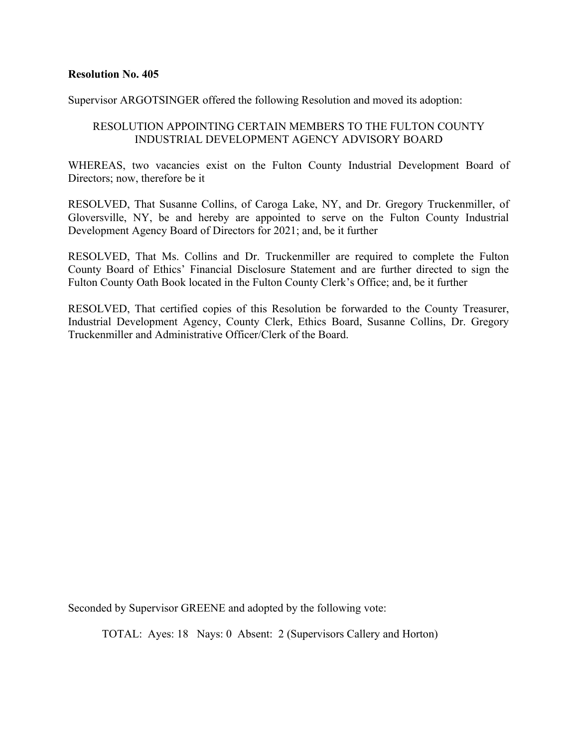Supervisor ARGOTSINGER offered the following Resolution and moved its adoption:

# RESOLUTION APPOINTING CERTAIN MEMBERS TO THE FULTON COUNTY INDUSTRIAL DEVELOPMENT AGENCY ADVISORY BOARD

WHEREAS, two vacancies exist on the Fulton County Industrial Development Board of Directors; now, therefore be it

RESOLVED, That Susanne Collins, of Caroga Lake, NY, and Dr. Gregory Truckenmiller, of Gloversville, NY, be and hereby are appointed to serve on the Fulton County Industrial Development Agency Board of Directors for 2021; and, be it further

RESOLVED, That Ms. Collins and Dr. Truckenmiller are required to complete the Fulton County Board of Ethics' Financial Disclosure Statement and are further directed to sign the Fulton County Oath Book located in the Fulton County Clerk's Office; and, be it further

RESOLVED, That certified copies of this Resolution be forwarded to the County Treasurer, Industrial Development Agency, County Clerk, Ethics Board, Susanne Collins, Dr. Gregory Truckenmiller and Administrative Officer/Clerk of the Board.

Seconded by Supervisor GREENE and adopted by the following vote: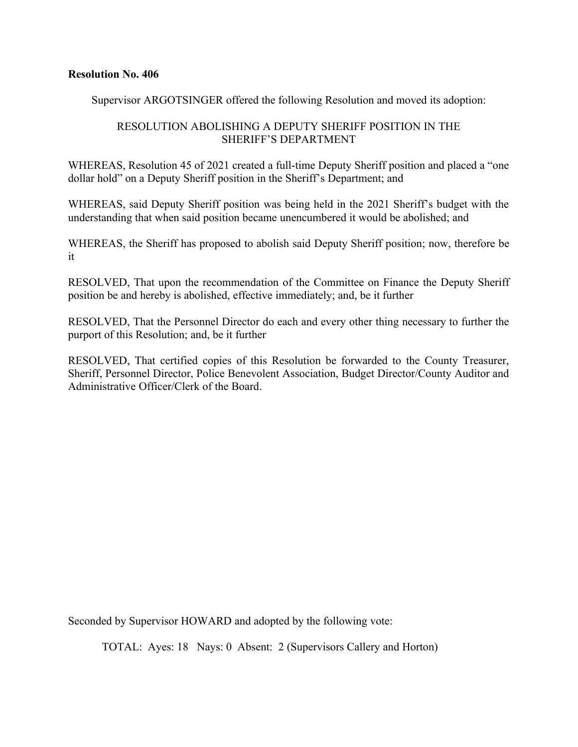Supervisor ARGOTSINGER offered the following Resolution and moved its adoption:

# RESOLUTION ABOLISHING A DEPUTY SHERIFF POSITION IN THE SHERIFF'S DEPARTMENT

WHEREAS, Resolution 45 of 2021 created a full-time Deputy Sheriff position and placed a "one dollar hold" on a Deputy Sheriff position in the Sheriff's Department; and

WHEREAS, said Deputy Sheriff position was being held in the 2021 Sheriff's budget with the understanding that when said position became unencumbered it would be abolished; and

WHEREAS, the Sheriff has proposed to abolish said Deputy Sheriff position; now, therefore be it

RESOLVED, That upon the recommendation of the Committee on Finance the Deputy Sheriff position be and hereby is abolished, effective immediately; and, be it further

RESOLVED, That the Personnel Director do each and every other thing necessary to further the purport of this Resolution; and, be it further

RESOLVED, That certified copies of this Resolution be forwarded to the County Treasurer, Sheriff, Personnel Director, Police Benevolent Association, Budget Director/County Auditor and Administrative Officer/Clerk of the Board.

Seconded by Supervisor HOWARD and adopted by the following vote: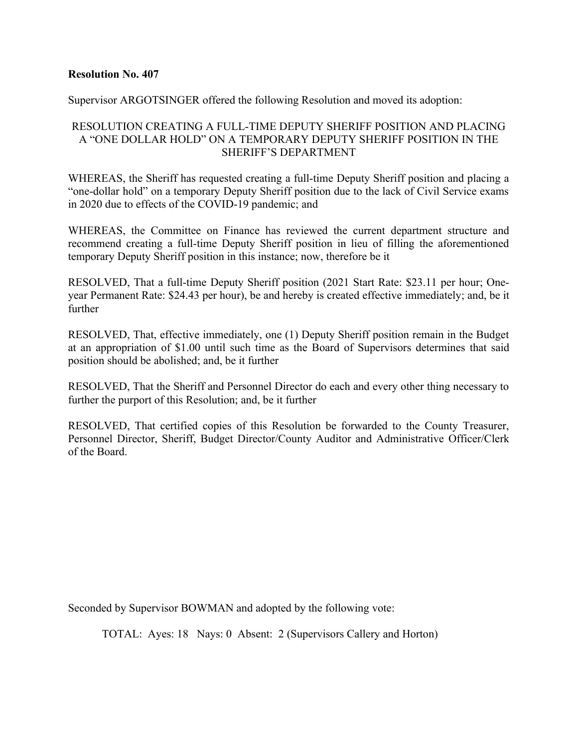Supervisor ARGOTSINGER offered the following Resolution and moved its adoption:

# RESOLUTION CREATING A FULL-TIME DEPUTY SHERIFF POSITION AND PLACING A "ONE DOLLAR HOLD" ON A TEMPORARY DEPUTY SHERIFF POSITION IN THE SHERIFF'S DEPARTMENT

WHEREAS, the Sheriff has requested creating a full-time Deputy Sheriff position and placing a "one-dollar hold" on a temporary Deputy Sheriff position due to the lack of Civil Service exams in 2020 due to effects of the COVID-19 pandemic; and

WHEREAS, the Committee on Finance has reviewed the current department structure and recommend creating a full-time Deputy Sheriff position in lieu of filling the aforementioned temporary Deputy Sheriff position in this instance; now, therefore be it

RESOLVED, That a full-time Deputy Sheriff position (2021 Start Rate: \$23.11 per hour; Oneyear Permanent Rate: \$24.43 per hour), be and hereby is created effective immediately; and, be it further

RESOLVED, That, effective immediately, one (1) Deputy Sheriff position remain in the Budget at an appropriation of \$1.00 until such time as the Board of Supervisors determines that said position should be abolished; and, be it further

RESOLVED, That the Sheriff and Personnel Director do each and every other thing necessary to further the purport of this Resolution; and, be it further

RESOLVED, That certified copies of this Resolution be forwarded to the County Treasurer, Personnel Director, Sheriff, Budget Director/County Auditor and Administrative Officer/Clerk of the Board.

Seconded by Supervisor BOWMAN and adopted by the following vote: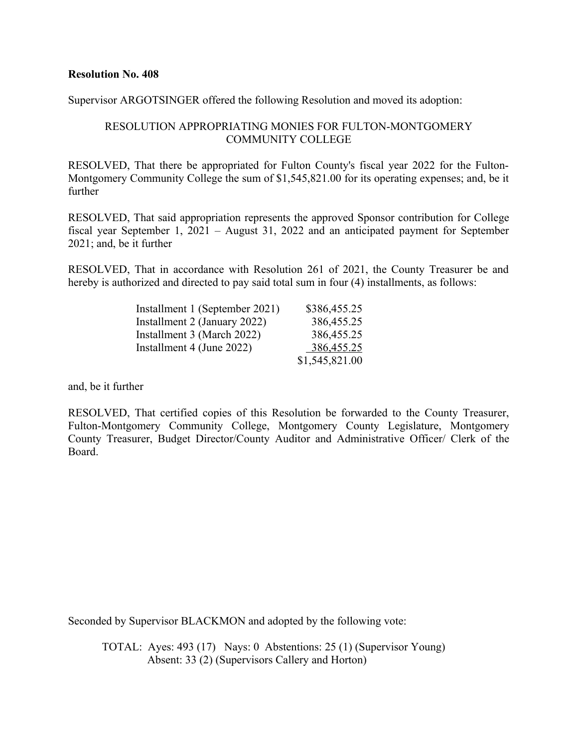Supervisor ARGOTSINGER offered the following Resolution and moved its adoption:

## RESOLUTION APPROPRIATING MONIES FOR FULTON-MONTGOMERY COMMUNITY COLLEGE

RESOLVED, That there be appropriated for Fulton County's fiscal year 2022 for the Fulton-Montgomery Community College the sum of \$1,545,821.00 for its operating expenses; and, be it further

RESOLVED, That said appropriation represents the approved Sponsor contribution for College fiscal year September 1, 2021 – August 31, 2022 and an anticipated payment for September 2021; and, be it further

RESOLVED, That in accordance with Resolution 261 of 2021, the County Treasurer be and hereby is authorized and directed to pay said total sum in four  $(4)$  installments, as follows:

| Installment 1 (September 2021) | \$386,455.25   |
|--------------------------------|----------------|
| Installment 2 (January 2022)   | 386,455.25     |
| Installment 3 (March 2022)     | 386,455.25     |
| Installment 4 (June 2022)      | 386,455.25     |
|                                | \$1,545,821.00 |

and, be it further

RESOLVED, That certified copies of this Resolution be forwarded to the County Treasurer, Fulton-Montgomery Community College, Montgomery County Legislature, Montgomery County Treasurer, Budget Director/County Auditor and Administrative Officer/ Clerk of the Board.

Seconded by Supervisor BLACKMON and adopted by the following vote:

TOTAL: Ayes: 493 (17) Nays: 0 Abstentions: 25 (1) (Supervisor Young) Absent: 33 (2) (Supervisors Callery and Horton)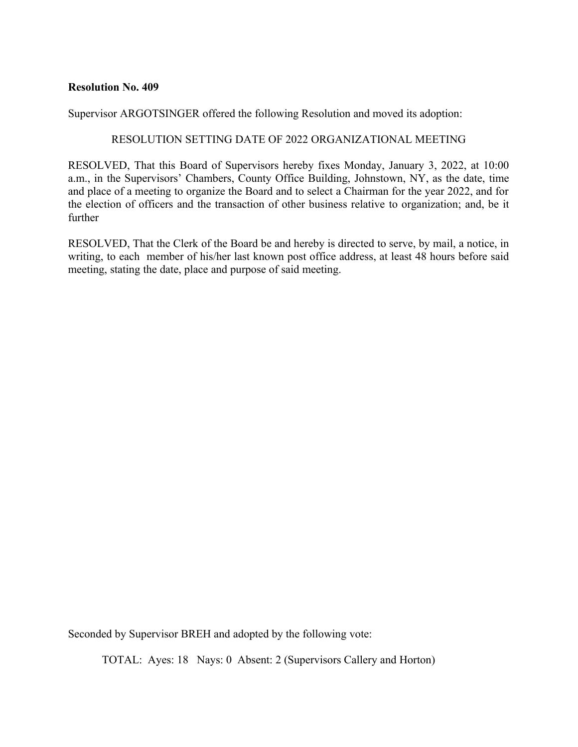Supervisor ARGOTSINGER offered the following Resolution and moved its adoption:

#### RESOLUTION SETTING DATE OF 2022 ORGANIZATIONAL MEETING

RESOLVED, That this Board of Supervisors hereby fixes Monday, January 3, 2022, at 10:00 a.m., in the Supervisors' Chambers, County Office Building, Johnstown, NY, as the date, time and place of a meeting to organize the Board and to select a Chairman for the year 2022, and for the election of officers and the transaction of other business relative to organization; and, be it further

RESOLVED, That the Clerk of the Board be and hereby is directed to serve, by mail, a notice, in writing, to each member of his/her last known post office address, at least 48 hours before said meeting, stating the date, place and purpose of said meeting.

Seconded by Supervisor BREH and adopted by the following vote: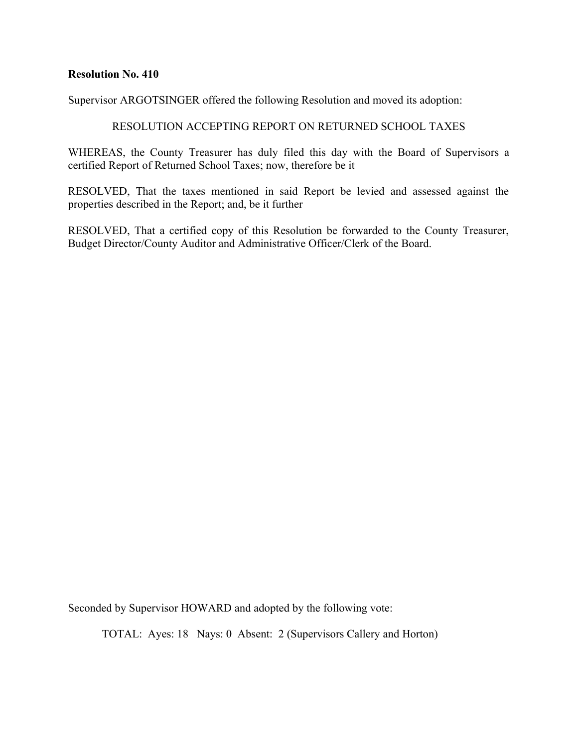Supervisor ARGOTSINGER offered the following Resolution and moved its adoption:

# RESOLUTION ACCEPTING REPORT ON RETURNED SCHOOL TAXES

WHEREAS, the County Treasurer has duly filed this day with the Board of Supervisors a certified Report of Returned School Taxes; now, therefore be it

RESOLVED, That the taxes mentioned in said Report be levied and assessed against the properties described in the Report; and, be it further

RESOLVED, That a certified copy of this Resolution be forwarded to the County Treasurer, Budget Director/County Auditor and Administrative Officer/Clerk of the Board.

Seconded by Supervisor HOWARD and adopted by the following vote: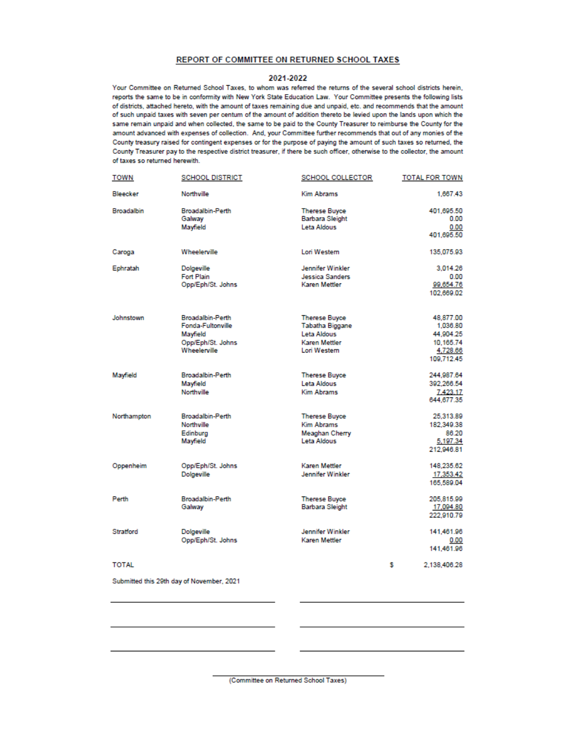#### REPORT OF COMMITTEE ON RETURNED SCHOOL TAXES

#### 2021-2022

Your Committee on Returned School Taxes, to whom was referred the returns of the several school districts herein, reports the same to be in conformity with New York State Education Law. Your Committee presents the following lists of districts, attached hereto, with the amount of taxes remaining due and unpaid, etc. and recommends that the amount of such unpaid taxes with seven per centum of the amount of addition thereto be levied upon the lands upon which the same remain unpaid and when collected, the same to be paid to the County Treasurer to reimburse the County for the amount advanced with expenses of collection. And, your Committee further recommends that out of any monies of the County treasury raised for contingent expenses or for the purpose of paying the amount of such taxes so returned, the County Treasurer pay to the respective district treasurer, if there be such officer, otherwise to the collector, the amount of taxes so returned herewith.

| <b>TOWN</b>       | <b>SCHOOL DISTRICT</b>                    | <b>SCHOOL COLLECTOR</b> | <b>TOTAL FOR TOWN</b> |
|-------------------|-------------------------------------------|-------------------------|-----------------------|
| Bleecker          | Northville                                | <b>Kim Abrams</b>       | 1,667.43              |
| <b>Broadalbin</b> | <b>Broadalbin-Perth</b>                   | <b>Therese Buyce</b>    | 401,695.50            |
|                   | Galway                                    | <b>Barbara Sleight</b>  | 0.00                  |
|                   | Mayfield                                  | Leta Aldous             | 0.00                  |
|                   |                                           |                         | 401,695.50            |
| Caroga            | Wheelerville                              | Lori Western            | 135,075.93            |
| Ephratah          | <b>Dolgeville</b>                         | Jennifer Winkler        | 3.014.26              |
|                   | <b>Fort Plain</b>                         | <b>Jessica Sanders</b>  | 0.00                  |
|                   | Opp/Eph/St. Johns                         | Karen Mettler           | 99.654.76             |
|                   |                                           |                         | 102,669.02            |
| Johnstown         | <b>Broadalbin-Perth</b>                   | <b>Therese Buyce</b>    | 48,877.00             |
|                   | Fonda-Fultonville                         | <b>Tabatha Biggane</b>  | 1,036.80              |
|                   | Mayfield                                  | Leta Aldous             | 44,904.25             |
|                   | Opp/Eph/St. Johns                         | Karen Mettler           | 10.165.74             |
|                   | Wheelerville                              | Lori Western            | 4,728.66              |
|                   |                                           |                         | 109,712.45            |
| Mayfield          | <b>Broadalbin-Perth</b>                   | <b>Therese Buyce</b>    | 244.987.64            |
|                   | Mayfield                                  | Leta Aldous             | 392.266.54            |
|                   | Northville                                | <b>Kim Abrams</b>       | 7.423.17              |
|                   |                                           |                         | 644.677.35            |
| Northampton       | <b>Broadalbin-Perth</b>                   | <b>Therese Buyce</b>    | 25.313.89             |
|                   | Northville                                | <b>Kim Abrams</b>       | 182,349.38            |
|                   | Edinburg                                  | Meaghan Cherry          | 86.20                 |
|                   | Mayfield                                  | Leta Aldous             | 5,197.34              |
|                   |                                           |                         | 212,946.81            |
| Oppenheim         | Opp/Eph/St. Johns                         | Karen Mettler           | 148.235.62            |
|                   | <b>Dolgeville</b>                         | <b>Jennifer Winkler</b> | 17,353.42             |
|                   |                                           |                         | 165,589.04            |
| Perth             | <b>Broadalbin-Perth</b>                   | <b>Therese Buyce</b>    | 205.815.99            |
|                   | Galway                                    | <b>Barbara Sleight</b>  | 17,094.80             |
|                   |                                           |                         | 222.910.79            |
| <b>Stratford</b>  | <b>Dolgeville</b>                         | <b>Jennifer Winkler</b> | 141.461.96            |
|                   | Opp/Eph/St. Johns                         | Karen Mettler           | 0.00                  |
|                   |                                           |                         | 141,461.96            |
| <b>TOTAL</b>      |                                           |                         | s<br>2,138,406.28     |
|                   | Submitted this 29th day of November, 2021 |                         |                       |
|                   |                                           |                         |                       |
|                   |                                           |                         |                       |

(Committee on Returned School Taxes)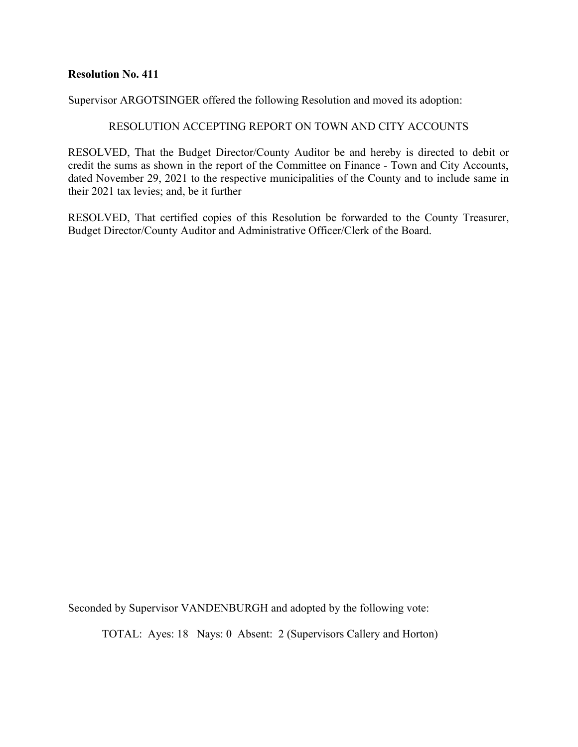Supervisor ARGOTSINGER offered the following Resolution and moved its adoption:

#### RESOLUTION ACCEPTING REPORT ON TOWN AND CITY ACCOUNTS

RESOLVED, That the Budget Director/County Auditor be and hereby is directed to debit or credit the sums as shown in the report of the Committee on Finance - Town and City Accounts, dated November 29, 2021 to the respective municipalities of the County and to include same in their 2021 tax levies; and, be it further

RESOLVED, That certified copies of this Resolution be forwarded to the County Treasurer, Budget Director/County Auditor and Administrative Officer/Clerk of the Board.

Seconded by Supervisor VANDENBURGH and adopted by the following vote: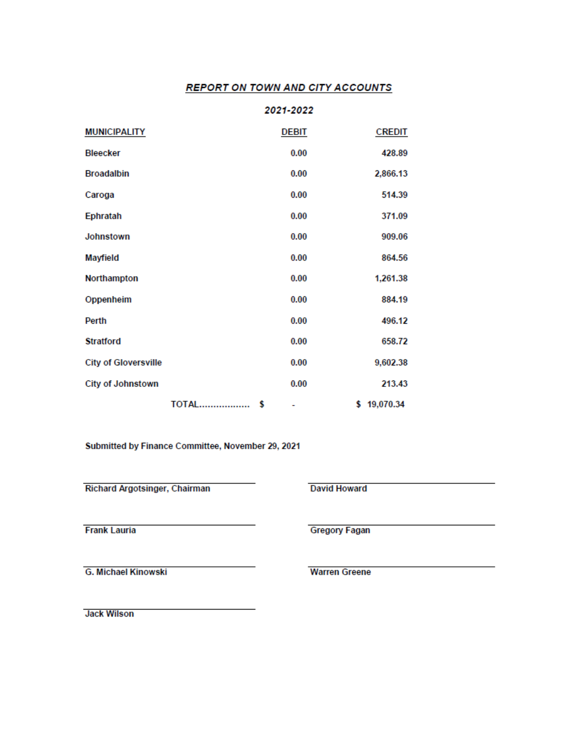#### **REPORT ON TOWN AND CITY ACCOUNTS**

|                             |              | 2021-2022 |               |
|-----------------------------|--------------|-----------|---------------|
| <b>MUNICIPALITY</b>         |              | DEBIT     | <b>CREDIT</b> |
| <b>Bleecker</b>             |              | 0.00      | 428.89        |
| <b>Broadalbin</b>           |              | 0.00      | 2,866.13      |
| Caroga                      |              | 0.00      | 514.39        |
| Ephratah                    |              | 0.00      | 371.09        |
| <b>Johnstown</b>            |              | 0.00      | 909.06        |
| <b>Mayfield</b>             |              | 0.00      | 864.56        |
| Northampton                 |              | 0.00      | 1,261.38      |
| Oppenheim                   |              | 0.00      | 884.19        |
| Perth                       |              | 0.00      | 496.12        |
| <b>Stratford</b>            |              | 0.00      | 658.72        |
| <b>City of Gloversville</b> |              | 0.00      | 9,602.38      |
| <b>City of Johnstown</b>    |              | 0.00      | 213.43        |
|                             | <b>TOTAL</b> | s<br>٠    | \$19,070.34   |

Submitted by Finance Committee, November 29, 2021

Richard Argotsinger, Chairman

**David Howard** 

**Frank Lauria** 

**G. Michael Kinowski** 

**Jack Wilson** 

**Gregory Fagan** 

**Warren Greene**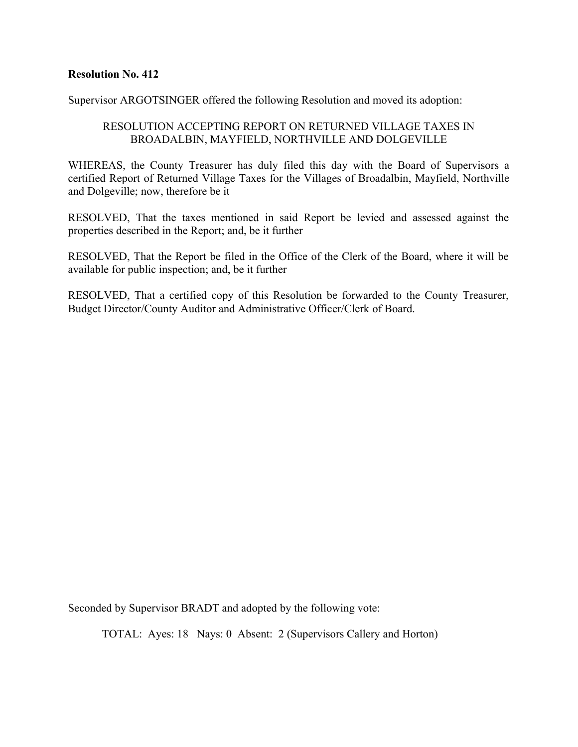Supervisor ARGOTSINGER offered the following Resolution and moved its adoption:

# RESOLUTION ACCEPTING REPORT ON RETURNED VILLAGE TAXES IN BROADALBIN, MAYFIELD, NORTHVILLE AND DOLGEVILLE

WHEREAS, the County Treasurer has duly filed this day with the Board of Supervisors a certified Report of Returned Village Taxes for the Villages of Broadalbin, Mayfield, Northville and Dolgeville; now, therefore be it

RESOLVED, That the taxes mentioned in said Report be levied and assessed against the properties described in the Report; and, be it further

RESOLVED, That the Report be filed in the Office of the Clerk of the Board, where it will be available for public inspection; and, be it further

RESOLVED, That a certified copy of this Resolution be forwarded to the County Treasurer, Budget Director/County Auditor and Administrative Officer/Clerk of Board.

Seconded by Supervisor BRADT and adopted by the following vote: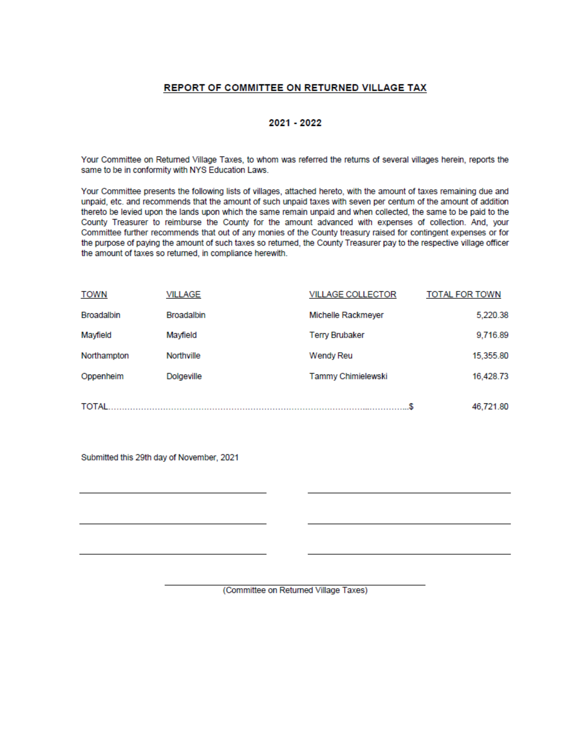#### REPORT OF COMMITTEE ON RETURNED VILLAGE TAX

#### 2021 - 2022

Your Committee on Returned Village Taxes, to whom was referred the returns of several villages herein, reports the same to be in conformity with NYS Education Laws.

Your Committee presents the following lists of villages, attached hereto, with the amount of taxes remaining due and unpaid, etc. and recommends that the amount of such unpaid taxes with seven per centum of the amount of addition thereto be levied upon the lands upon which the same remain unpaid and when collected, the same to be paid to the County Treasurer to reimburse the County for the amount advanced with expenses of collection. And, your Committee further recommends that out of any monies of the County treasury raised for contingent expenses or for the purpose of paying the amount of such taxes so returned, the County Treasurer pay to the respective village officer the amount of taxes so returned, in compliance herewith.

| <b>TOWN</b>       | VILLAGE           | <b>VILLAGE COLLECTOR</b> | <b>TOTAL FOR TOWN</b> |
|-------------------|-------------------|--------------------------|-----------------------|
| <b>Broadalbin</b> | <b>Broadalbin</b> | Michelle Rackmeyer       | 5,220.38              |
| Mayfield          | Mayfield          | <b>Terry Brubaker</b>    | 9,716.89              |
| Northampton       | Northville        | Wendy Reu                | 15.355.80             |
| Oppenheim         | <b>Dolgeville</b> | Tammy Chimielewski       | 16,428.73             |
|                   |                   |                          |                       |
| <b>TOTAL</b>      |                   |                          | 46,721.80             |

Submitted this 29th day of November, 2021

(Committee on Returned Village Taxes)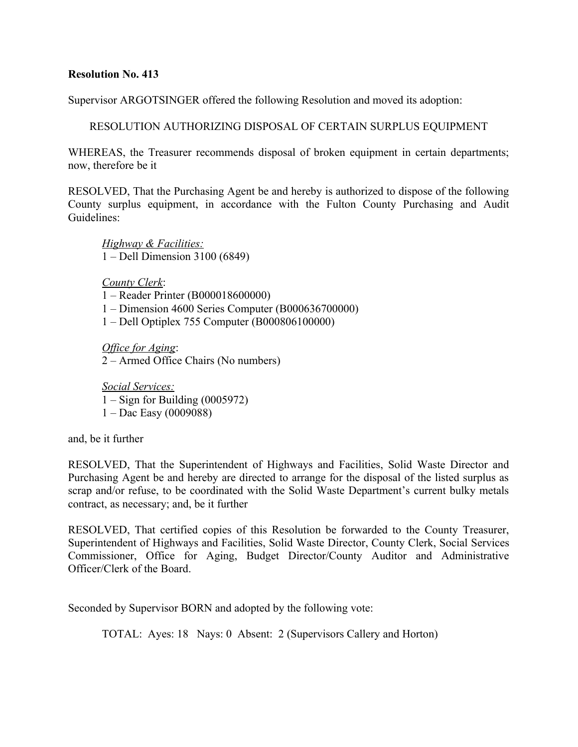Supervisor ARGOTSINGER offered the following Resolution and moved its adoption:

RESOLUTION AUTHORIZING DISPOSAL OF CERTAIN SURPLUS EQUIPMENT

WHEREAS, the Treasurer recommends disposal of broken equipment in certain departments; now, therefore be it

RESOLVED, That the Purchasing Agent be and hereby is authorized to dispose of the following County surplus equipment, in accordance with the Fulton County Purchasing and Audit Guidelines:

*Highway & Facilities:* 1 – Dell Dimension 3100 (6849)

*County Clerk*:

1 – Reader Printer (B000018600000)

1 – Dimension 4600 Series Computer (B000636700000)

1 – Dell Optiplex 755 Computer (B000806100000)

*Office for Aging*: 2 – Armed Office Chairs (No numbers)

*Social Services:*  $1 -$  Sign for Building (0005972) 1 – Dac Easy (0009088)

and, be it further

RESOLVED, That the Superintendent of Highways and Facilities, Solid Waste Director and Purchasing Agent be and hereby are directed to arrange for the disposal of the listed surplus as scrap and/or refuse, to be coordinated with the Solid Waste Department's current bulky metals contract, as necessary; and, be it further

RESOLVED, That certified copies of this Resolution be forwarded to the County Treasurer, Superintendent of Highways and Facilities, Solid Waste Director, County Clerk, Social Services Commissioner, Office for Aging, Budget Director/County Auditor and Administrative Officer/Clerk of the Board.

Seconded by Supervisor BORN and adopted by the following vote: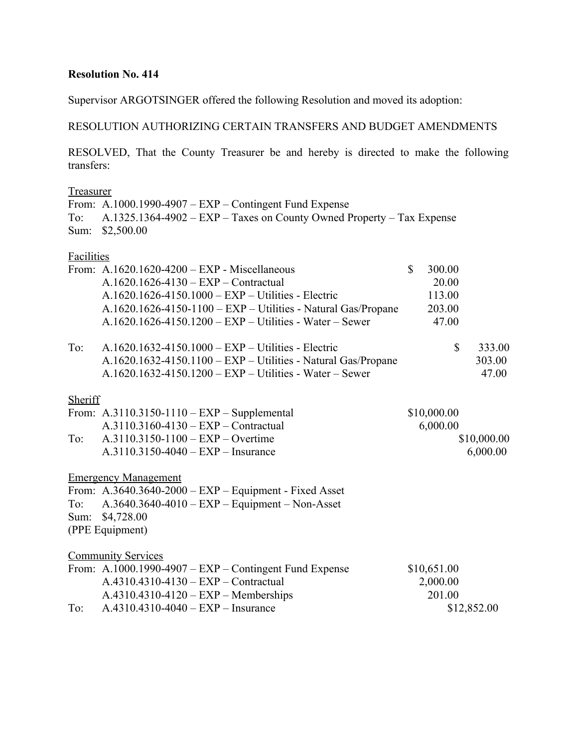Supervisor ARGOTSINGER offered the following Resolution and moved its adoption:

# RESOLUTION AUTHORIZING CERTAIN TRANSFERS AND BUDGET AMENDMENTS

RESOLVED, That the County Treasurer be and hereby is directed to make the following transfers:

## Treasurer

From: A.1000.1990-4907 – EXP – Contingent Fund Expense To: A.1325.1364-4902 – EXP – Taxes on County Owned Property – Tax Expense Sum: \$2,500.00

#### Facilities

|         | From: $A.1620.1620-4200 - EXP - Miscellaneous$                | $\mathbb{S}$ | 300.00       |             |
|---------|---------------------------------------------------------------|--------------|--------------|-------------|
|         | A.1620.1626-4130 - EXP - Contractual                          |              | 20.00        |             |
|         | A.1620.1626-4150.1000 - EXP - Utilities - Electric            |              | 113.00       |             |
|         | $A.1620.1626-4150-1100 - EXP-Utilities$ - Natural Gas/Propane |              | 203.00       |             |
|         | $A.1620.1626-4150.1200 - EXP - Utilities - Water - Sewer$     |              | 47.00        |             |
| To:     | $A.1620.1632-4150.1000 - EXP - Utilities - Electric$          |              | $\mathbb{S}$ | 333.00      |
|         | A.1620.1632-4150.1100 - EXP - Utilities - Natural Gas/Propane |              |              | 303.00      |
|         | $A.1620.1632-4150.1200 - EXP - Utilities - Water - Sewer$     |              |              | 47.00       |
| Sheriff |                                                               |              |              |             |
|         | From: A.3110.3150-1110 - $EXP$ - Supplemental                 |              | \$10,000.00  |             |
|         | $A.3110.3160 - 4130 - EXP - Contractual$                      |              | 6,000.00     |             |
| To:     | $A.3110.3150-1100 - EXP - Overtime$                           |              |              | \$10,000.00 |
|         | $A.3110.3150-4040 - EXP - Insurance$                          |              |              | 6,000.00    |
|         | <b>Emergency Management</b>                                   |              |              |             |
|         | From: A.3640.3640-2000 – $EXP$ – Equipment - Fixed Asset      |              |              |             |
| To:     | $A.3640.3640-4010$ – $EXP$ – Equipment – Non-Asset            |              |              |             |
|         | Sum: \$4,728.00                                               |              |              |             |
|         | (PPE Equipment)                                               |              |              |             |
|         | <b>Community Services</b>                                     |              |              |             |
|         | From: A.1000.1990-4907 – $EXP$ – Contingent Fund Expense      |              | \$10,651.00  |             |
|         | $A.4310.4310-4130 - EXP - Contractual$                        |              | 2,000.00     |             |
|         | $A.4310.4310-4120 - EXP - Members$ hips                       |              | 201.00       |             |
| To:     | $A.4310.4310-4040 - EXP - Insurance$                          |              |              | \$12,852.00 |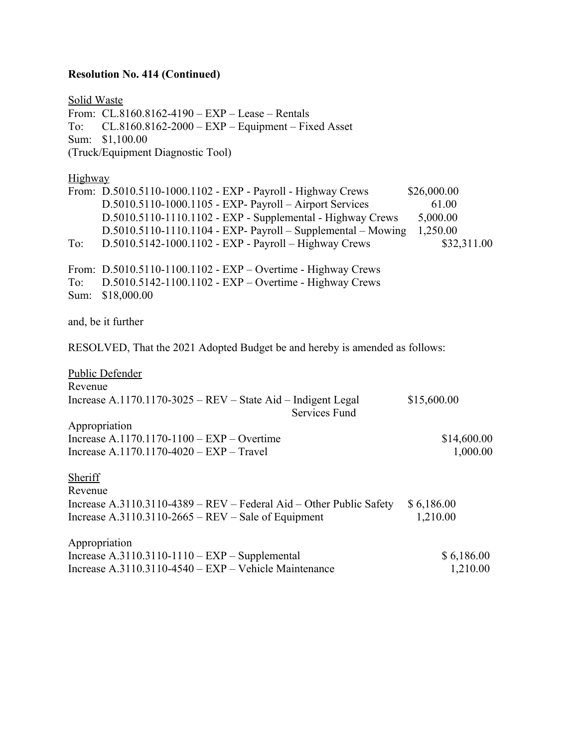# **Resolution No. 414 (Continued)**

| <b>Solid Waste</b> |                                                                                        |             |
|--------------------|----------------------------------------------------------------------------------------|-------------|
|                    | From: $CL.8160.8162-4190 - EXP - Lease - Rentals$                                      |             |
| To:                | $CL.8160.8162-2000 - EXP - Equipment - Fixed Asset$                                    |             |
| Sum:               | \$1,100.00                                                                             |             |
|                    | (Truck/Equipment Diagnostic Tool)                                                      |             |
| Highway            |                                                                                        |             |
|                    | From: D.5010.5110-1000.1102 - EXP - Payroll - Highway Crews                            | \$26,000.00 |
|                    | D.5010.5110-1000.1105 - EXP- Payroll - Airport Services                                | 61.00       |
|                    | D.5010.5110-1110.1102 - EXP - Supplemental - Highway Crews                             | 5,000.00    |
|                    | $D.5010.5110-1110.1104$ - EXP- Payroll – Supplemental – Mowing                         | 1,250.00    |
| To:                | D.5010.5142-1000.1102 - EXP - Payroll - Highway Crews                                  | \$32,311.00 |
|                    | From: D.5010.5110-1100.1102 - EXP - Overtime - Highway Crews                           |             |
| To:                | D.5010.5142-1100.1102 - EXP - Overtime - Highway Crews                                 |             |
| Sum:               | \$18,000.00                                                                            |             |
|                    | and, be it further                                                                     |             |
|                    | RESOLVED, That the 2021 Adopted Budget be and hereby is amended as follows:            |             |
|                    | <b>Public Defender</b>                                                                 |             |
| Revenue            |                                                                                        |             |
|                    | Increase A.1170.1170-3025 – $REV$ – State Aid – Indigent Legal<br><b>Services Fund</b> | \$15,600.00 |
|                    | Appropriation                                                                          |             |
|                    | Increase A.1170.1170-1100 – $EXP$ – Overtime                                           | \$14,600.00 |
|                    | Increase A.1170.1170-4020 - EXP - Travel                                               | 1,000.00    |
| Sheriff            |                                                                                        |             |
| Revenue            |                                                                                        |             |
|                    | Increase A.3110.3110-4389 – REV – Federal Aid – Other Public Safety                    | \$6,186.00  |
|                    | Increase $A.3110.3110-2665 - REV - Sale$ of Equipment                                  | 1,210.00    |
|                    | Appropriation                                                                          |             |
|                    | Increase $A.3110.3110-1110 - EXP - Supplemental$                                       | \$6,186.00  |
|                    | Increase A.3110.3110-4540 - EXP - Vehicle Maintenance                                  | 1,210.00    |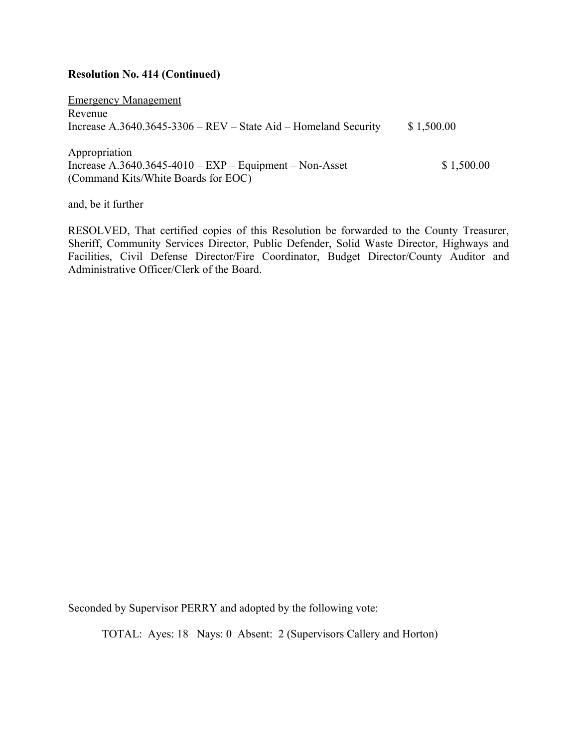#### **Resolution No. 414 (Continued)**

Emergency Management Revenue Increase A.3640.3645-3306 – REV – State Aid – Homeland Security  $$1,500.00$ Appropriation

Increase  $A.3640.3645-4010 - EXP - Equipment - Non- Asset$  \$ 1,500.00 (Command Kits/White Boards for EOC)

and, be it further

RESOLVED, That certified copies of this Resolution be forwarded to the County Treasurer, Sheriff, Community Services Director, Public Defender, Solid Waste Director, Highways and Facilities, Civil Defense Director/Fire Coordinator, Budget Director/County Auditor and Administrative Officer/Clerk of the Board.

Seconded by Supervisor PERRY and adopted by the following vote: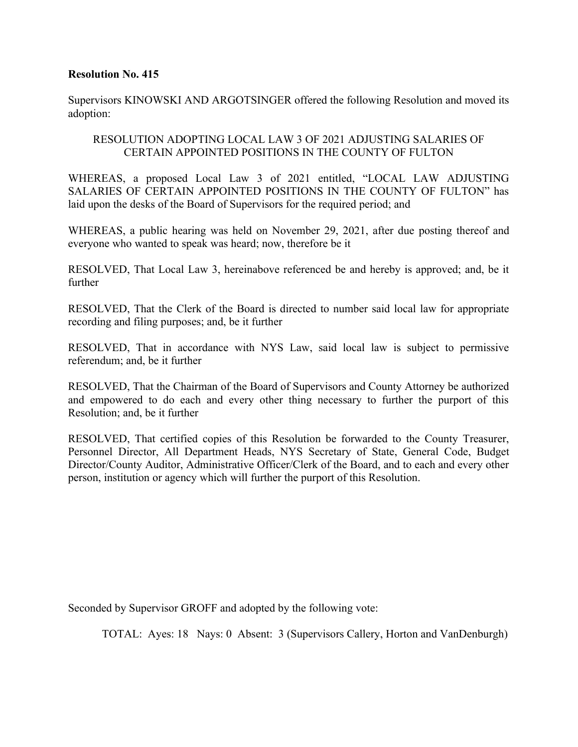Supervisors KINOWSKI AND ARGOTSINGER offered the following Resolution and moved its adoption:

# RESOLUTION ADOPTING LOCAL LAW 3 OF 2021 ADJUSTING SALARIES OF CERTAIN APPOINTED POSITIONS IN THE COUNTY OF FULTON

WHEREAS, a proposed Local Law 3 of 2021 entitled, "LOCAL LAW ADJUSTING SALARIES OF CERTAIN APPOINTED POSITIONS IN THE COUNTY OF FULTON" has laid upon the desks of the Board of Supervisors for the required period; and

WHEREAS, a public hearing was held on November 29, 2021, after due posting thereof and everyone who wanted to speak was heard; now, therefore be it

RESOLVED, That Local Law 3, hereinabove referenced be and hereby is approved; and, be it further

RESOLVED, That the Clerk of the Board is directed to number said local law for appropriate recording and filing purposes; and, be it further

RESOLVED, That in accordance with NYS Law, said local law is subject to permissive referendum; and, be it further

RESOLVED, That the Chairman of the Board of Supervisors and County Attorney be authorized and empowered to do each and every other thing necessary to further the purport of this Resolution; and, be it further

RESOLVED, That certified copies of this Resolution be forwarded to the County Treasurer, Personnel Director, All Department Heads, NYS Secretary of State, General Code, Budget Director/County Auditor, Administrative Officer/Clerk of the Board, and to each and every other person, institution or agency which will further the purport of this Resolution.

Seconded by Supervisor GROFF and adopted by the following vote: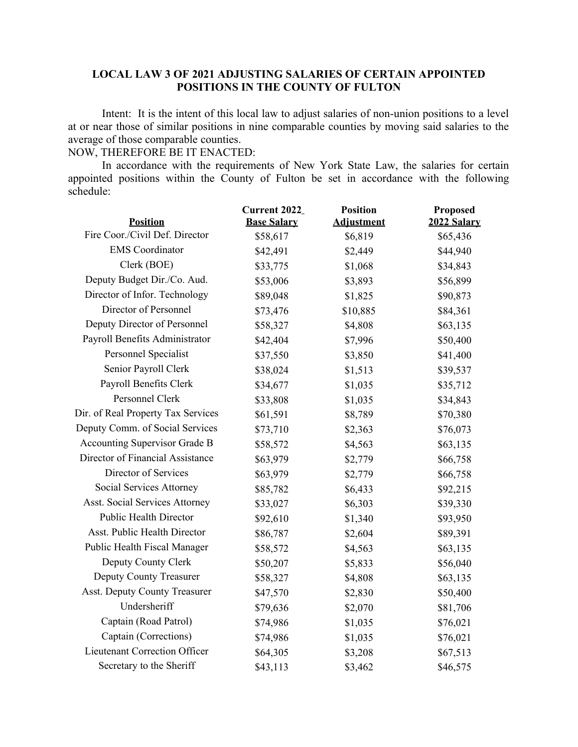# **LOCAL LAW 3 OF 2021 ADJUSTING SALARIES OF CERTAIN APPOINTED POSITIONS IN THE COUNTY OF FULTON**

Intent: It is the intent of this local law to adjust salaries of non-union positions to a level at or near those of similar positions in nine comparable counties by moving said salaries to the average of those comparable counties.

NOW, THEREFORE BE IT ENACTED:

In accordance with the requirements of New York State Law, the salaries for certain appointed positions within the County of Fulton be set in accordance with the following schedule:

| <b>Position</b>                       | Current 2022_<br><b>Base Salary</b> | <b>Position</b><br><b>Adjustment</b> | <b>Proposed</b><br>2022 Salary |
|---------------------------------------|-------------------------------------|--------------------------------------|--------------------------------|
| Fire Coor./Civil Def. Director        | \$58,617                            | \$6,819                              | \$65,436                       |
| <b>EMS</b> Coordinator                | \$42,491                            | \$2,449                              | \$44,940                       |
| Clerk (BOE)                           | \$33,775                            |                                      |                                |
| Deputy Budget Dir./Co. Aud.           |                                     | \$1,068                              | \$34,843                       |
| Director of Infor. Technology         | \$53,006                            | \$3,893                              | \$56,899                       |
| Director of Personnel                 | \$89,048                            | \$1,825                              | \$90,873                       |
|                                       | \$73,476                            | \$10,885                             | \$84,361                       |
| Deputy Director of Personnel          | \$58,327                            | \$4,808                              | \$63,135                       |
| Payroll Benefits Administrator        | \$42,404                            | \$7,996                              | \$50,400                       |
| Personnel Specialist                  | \$37,550                            | \$3,850                              | \$41,400                       |
| Senior Payroll Clerk                  | \$38,024                            | \$1,513                              | \$39,537                       |
| Payroll Benefits Clerk                | \$34,677                            | \$1,035                              | \$35,712                       |
| Personnel Clerk                       | \$33,808                            | \$1,035                              | \$34,843                       |
| Dir. of Real Property Tax Services    | \$61,591                            | \$8,789                              | \$70,380                       |
| Deputy Comm. of Social Services       | \$73,710                            | \$2,363                              | \$76,073                       |
| Accounting Supervisor Grade B         | \$58,572                            | \$4,563                              | \$63,135                       |
| Director of Financial Assistance      | \$63,979                            | \$2,779                              | \$66,758                       |
| Director of Services                  | \$63,979                            | \$2,779                              | \$66,758                       |
| Social Services Attorney              | \$85,782                            | \$6,433                              | \$92,215                       |
| <b>Asst. Social Services Attorney</b> | \$33,027                            | \$6,303                              | \$39,330                       |
| <b>Public Health Director</b>         | \$92,610                            | \$1,340                              | \$93,950                       |
| Asst. Public Health Director          | \$86,787                            | \$2,604                              | \$89,391                       |
| Public Health Fiscal Manager          | \$58,572                            | \$4,563                              | \$63,135                       |
| Deputy County Clerk                   | \$50,207                            | \$5,833                              | \$56,040                       |
| <b>Deputy County Treasurer</b>        | \$58,327                            | \$4,808                              | \$63,135                       |
| Asst. Deputy County Treasurer         | \$47,570                            | \$2,830                              | \$50,400                       |
| Undersheriff                          | \$79,636                            | \$2,070                              | \$81,706                       |
| Captain (Road Patrol)                 | \$74,986                            | \$1,035                              | \$76,021                       |
| Captain (Corrections)                 | \$74,986                            | \$1,035                              | \$76,021                       |
| Lieutenant Correction Officer         | \$64,305                            | \$3,208                              | \$67,513                       |
| Secretary to the Sheriff              | \$43,113                            | \$3,462                              | \$46,575                       |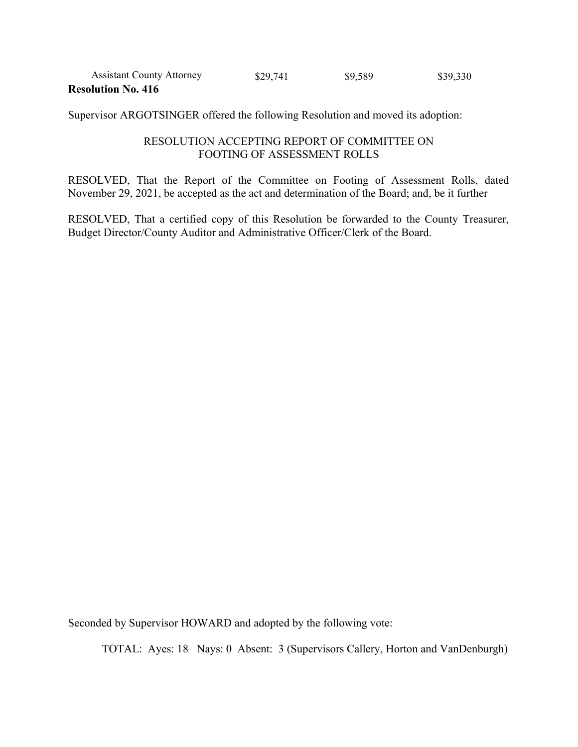| <b>Assistant County Attorney</b> | \$29,741 | \$9,589 | \$39,330 |
|----------------------------------|----------|---------|----------|
| <b>Resolution No. 416</b>        |          |         |          |

Supervisor ARGOTSINGER offered the following Resolution and moved its adoption:

# RESOLUTION ACCEPTING REPORT OF COMMITTEE ON FOOTING OF ASSESSMENT ROLLS

RESOLVED, That the Report of the Committee on Footing of Assessment Rolls, dated November 29, 2021, be accepted as the act and determination of the Board; and, be it further

RESOLVED, That a certified copy of this Resolution be forwarded to the County Treasurer, Budget Director/County Auditor and Administrative Officer/Clerk of the Board.

Seconded by Supervisor HOWARD and adopted by the following vote: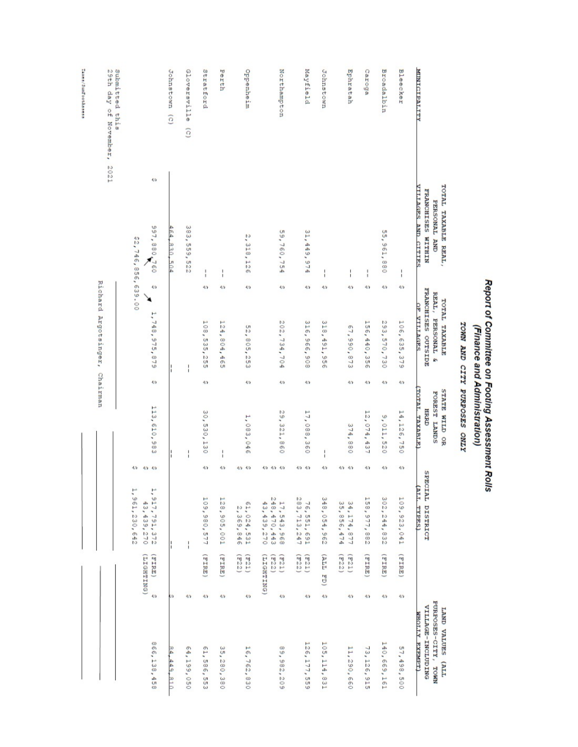| <b>MINICIPALITY</b>                     | TOTAL TAXABLE REAL,<br>VILLAGES AND CITTES<br><b>FRANCHISES</b><br>PERSONAL AND<br><b>NIHLIM</b> |                     | FRANCHISES OUTSIDE<br>$\operatorname{REAL}_I$<br>TOTAL TAXABLE<br>OF VILLAGES<br><b>PERSONAL</b><br>m |            | (TOTAL TAXARLE)<br>STATE WILD OR<br>FOREST LANDS<br><b>HIRRD</b> |                                | SPECIAL DISTRICT<br>(ALI. TYPES)                    |                              |                       | PURPOSES-CITY, TOWN<br>VILLAGE-INCLUDING<br>LAND VALUES (ALL<br>WHOT.I.Y EXEMPT) |
|-----------------------------------------|--------------------------------------------------------------------------------------------------|---------------------|-------------------------------------------------------------------------------------------------------|------------|------------------------------------------------------------------|--------------------------------|-----------------------------------------------------|------------------------------|-----------------------|----------------------------------------------------------------------------------|
| Bleecker                                | $\frac{1}{1}$                                                                                    | 40                  | 106,635,379                                                                                           | ٩a         | 14,126,750                                                       | 40                             | 109,923,041                                         | (ETRI)                       | ø                     | 57,498,500                                                                       |
| <b>Broadalbin</b>                       | 55,961,880                                                                                       | $\overline{a}$      | 293, 570, 730                                                                                         | e          | 9,011,520                                                        | $\overline{a}$                 | 302, 244, 832                                       | (FIRE)                       | $\boldsymbol{\omega}$ | 140,669,161                                                                      |
| Caroga                                  | ì                                                                                                | 40 <sub>2</sub>     | 156,440,356                                                                                           | 40         | 12,074,437                                                       | 49                             | 158,977,882                                         | ETRE)                        | Đ                     | 73,126,915                                                                       |
| Ephratah                                | $\mathbf{I}$                                                                                     | ÷                   | 67,990,873                                                                                            | Ł۵         | 374,880                                                          | 40<br>40                       | 35, 856, 474<br>34,174,877                          | (522)<br>(E21)               | Ø                     | 11,290,660                                                                       |
| Johnstown                               | I                                                                                                | <b>O</b>            | 318, 491, 956                                                                                         |            |                                                                  | $\omega$                       | 348,054,962                                         | (TTTT)                       | Ø                     | 105,114,831                                                                      |
| Mayfield                                | 31,449,974                                                                                       | Đ                   | 316,966,908                                                                                           | ÷          | 17,088,360                                                       | 40.40                          | 283,713,247<br>76,551,691                           | (E22)<br>(E21)               | ÷                     | 126, 177, 559                                                                    |
| Northampton                             | 59,760,754                                                                                       | ₩                   | 202,734,704                                                                                           | $\epsilon$ | 29, 321, 860                                                     | o<br>$\omega$<br>$\mathcal{L}$ | 248,470,443<br>17, 543, 968<br>43,439,270           | (E21)<br>(DNILHSIT)<br>(E22) | $\overline{a}$        | 89,982,209                                                                       |
| Oppenheim                               | 2, 318, 126                                                                                      | ₩                   | 52,805,253                                                                                            | ÷          | 1,083,046                                                        | 40.40                          | 61, 024, 531<br>2,369,846                           | (E22)<br>(5.21)              | Ø                     | 16,762,830                                                                       |
| Perth                                   | $\frac{1}{1}$                                                                                    | ÷                   | 124,804,465                                                                                           |            | $\frac{1}{1}$                                                    | $\omega$                       | 128,905,001                                         | (FIRE)                       | ÷                     | 35,280,380                                                                       |
| Stratford                               | ٠<br>1                                                                                           | Đ                   | 108,535,255                                                                                           | Đ,         | 30,530,130                                                       | 40                             | 109,980,577                                         | (FIRE)                       | ÷                     | o,<br>1,586,553                                                                  |
| Gloversville<br>$\overline{c}$          | 383,559,522                                                                                      |                     |                                                                                                       |            | $\frac{1}{1}$                                                    |                                | ł                                                   |                              | <b>KO</b>             | 64,199,050                                                                       |
| Johnstown (C)                           | 464,830,504                                                                                      |                     |                                                                                                       |            |                                                                  |                                |                                                     |                              | łΩ                    | 84,449,810                                                                       |
|                                         | o<br>997,880,760<br>22,746,856,639.00                                                            | $\overline{a}$<br>↘ | 1,748,975,879                                                                                         | o          | 113,610,983                                                      | ÷<br>$\omega$ $\omega$         | 1, 961, 230, 642<br>1,<br>917,791,372<br>43,439,270 | (DNILHSIT)<br>(FIRE)         | ÷                     | 866,138,458                                                                      |
| 29th day of November,<br>Submitted this | 2021                                                                                             |                     | Richard Argotsinger, Chairman                                                                         |            |                                                                  |                                |                                                     |                              |                       |                                                                                  |
| Taxes/SunFootAssess                     |                                                                                                  |                     |                                                                                                       |            |                                                                  |                                |                                                     |                              |                       |                                                                                  |

# Report of Committee on Footing Assessment Rolls<br>(Finance and Administration)

TOWN AND CITY PURPOSES ONLY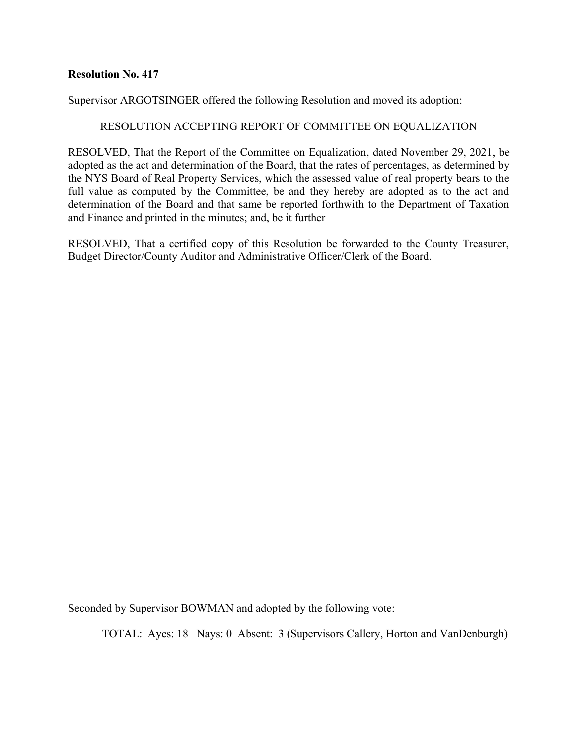Supervisor ARGOTSINGER offered the following Resolution and moved its adoption:

# RESOLUTION ACCEPTING REPORT OF COMMITTEE ON EQUALIZATION

RESOLVED, That the Report of the Committee on Equalization, dated November 29, 2021, be adopted as the act and determination of the Board, that the rates of percentages, as determined by the NYS Board of Real Property Services, which the assessed value of real property bears to the full value as computed by the Committee, be and they hereby are adopted as to the act and determination of the Board and that same be reported forthwith to the Department of Taxation and Finance and printed in the minutes; and, be it further

RESOLVED, That a certified copy of this Resolution be forwarded to the County Treasurer, Budget Director/County Auditor and Administrative Officer/Clerk of the Board.

Seconded by Supervisor BOWMAN and adopted by the following vote: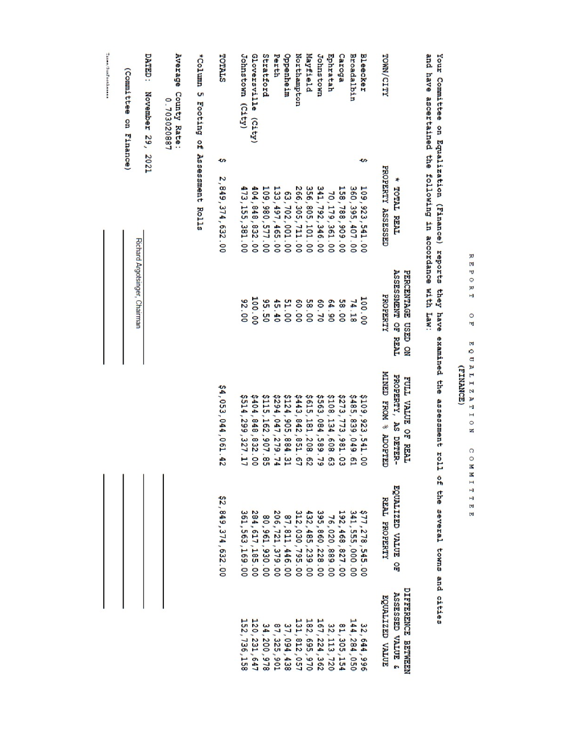|                                                                                                                  |                                                 |                          | (Committee on Finance)                |
|------------------------------------------------------------------------------------------------------------------|-------------------------------------------------|--------------------------|---------------------------------------|
|                                                                                                                  | Richard Argotsinger, Chairman                   |                          |                                       |
|                                                                                                                  |                                                 |                          | DATED:<br>November 29, 2021           |
|                                                                                                                  |                                                 |                          | Average County Rate:<br>0.703020887   |
|                                                                                                                  |                                                 |                          | *Column 5 Footing of Assessment Rolls |
| \$4,053,044,061.42<br>\$2,849,374,632.00                                                                         |                                                 | ¢<br>2, 849, 374, 632.00 | TOTALS                                |
| \$514,299,327.17<br>361, 563, 169.00                                                                             | 82.00                                           | 473, 155, 381.00         | Johnstown (City)                      |
| \$404,848,832.00<br>284,617,185.00                                                                               | 100.00                                          | 404, 848, 832.00         | <b>Gloversville</b><br>$(c_1$ ty)     |
| \$115,162,907.85<br>80,961,930.00                                                                                | 95.50                                           | 109,980,577.00           | Stratford                             |
| \$294,047,279.74<br>206,721,379.00                                                                               | 45.40                                           | 133, 497, 465.00         | Perth                                 |
| \$124,905,884.31<br>87, 811, 446.00                                                                              | 51.00                                           | 63,702,001.00            | Oppenheim                             |
| \$443,842,851.67<br>432,485,239.00<br>312,030,795.00<br>182,695,970<br>131,812,057                               | 60.00                                           | 266, 305, 711.00         | Northampton                           |
| \$615,181,208.62                                                                                                 | 58.00                                           | 356, 805, 101.00         | Mayfield                              |
| \$563,084,589.79<br>395,860,228.00<br>167, 224, 362                                                              | 60.70                                           | 341, 792, 346.00         | <b>Johnstown</b>                      |
| \$108,134,608.63<br>76,020,889.00                                                                                | 64.90                                           | 70,179,361.00            | Ephratah                              |
| \$273,773,981.03<br>192,468,827.00                                                                               | 58.00                                           | 158,788,909.00           | Caroga                                |
| \$485,839,049.61<br>341, 555, 000.00<br>144,284,050                                                              | 74.18                                           | 360, 395, 407.00         | <b>Broadalbin</b>                     |
| \$109,923,541.00<br>\$77,278,545<br>$\frac{1}{2}$                                                                | 100.00                                          | ¢<br>109, 923, 541.00    | Bleecker                              |
| MINED FROM % ADOPTED<br>REAL PROPERTY<br>EQUALIZED VALUE                                                         | PROPERTY                                        | PROPERTY ASSESSED        | TOMN/CITY                             |
| PROPERTY, AS DETER-<br>FULL VALUE OF REAL<br>EQUALIZED VALUE OF<br><b>DIFFERENCE BETWEEN</b><br>ASSESSED VALUE & | <b>ASSESSMENT OF REAL</b><br>PERCENTAGE USED ON | <b>TOTAL REAL</b>        |                                       |

REPORT OF EQUALIZATON COMMITTEE<br>REPORT OF EQUALIZATON COMMITTEE

Taxes/SunFootAssess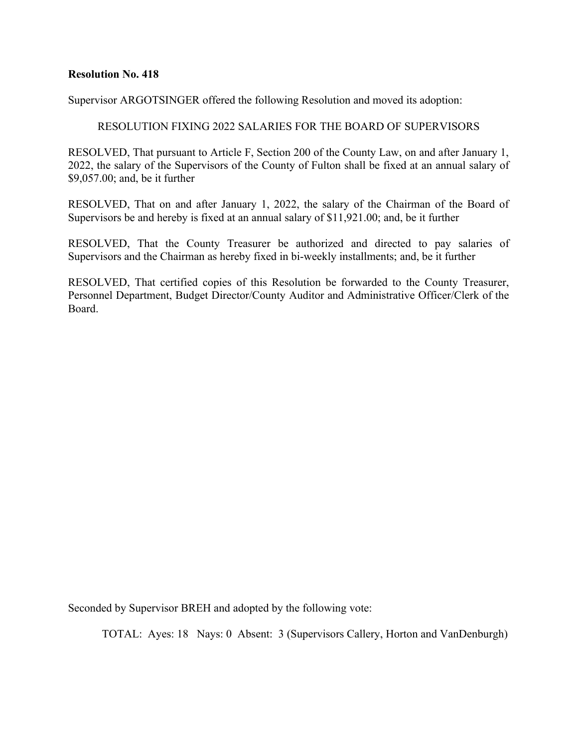Supervisor ARGOTSINGER offered the following Resolution and moved its adoption:

#### RESOLUTION FIXING 2022 SALARIES FOR THE BOARD OF SUPERVISORS

RESOLVED, That pursuant to Article F, Section 200 of the County Law, on and after January 1, 2022, the salary of the Supervisors of the County of Fulton shall be fixed at an annual salary of \$9,057.00; and, be it further

RESOLVED, That on and after January 1, 2022, the salary of the Chairman of the Board of Supervisors be and hereby is fixed at an annual salary of \$11,921.00; and, be it further

RESOLVED, That the County Treasurer be authorized and directed to pay salaries of Supervisors and the Chairman as hereby fixed in bi-weekly installments; and, be it further

RESOLVED, That certified copies of this Resolution be forwarded to the County Treasurer, Personnel Department, Budget Director/County Auditor and Administrative Officer/Clerk of the Board.

Seconded by Supervisor BREH and adopted by the following vote: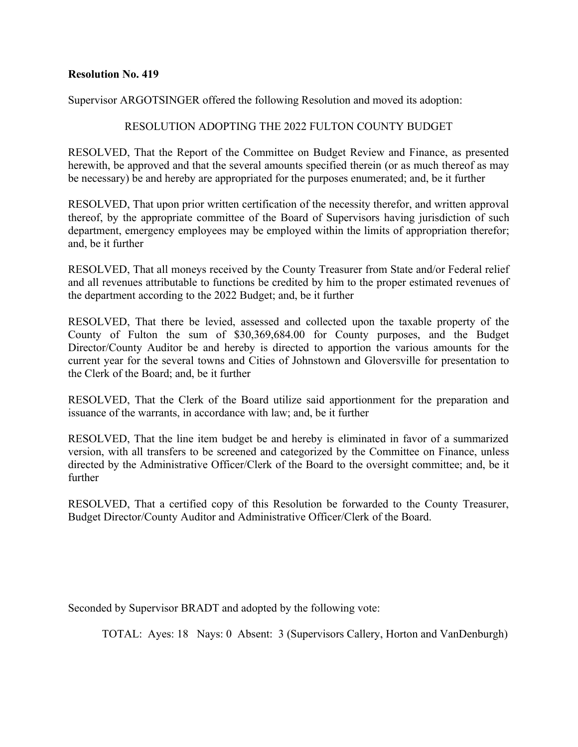Supervisor ARGOTSINGER offered the following Resolution and moved its adoption:

#### RESOLUTION ADOPTING THE 2022 FULTON COUNTY BUDGET

RESOLVED, That the Report of the Committee on Budget Review and Finance, as presented herewith, be approved and that the several amounts specified therein (or as much thereof as may be necessary) be and hereby are appropriated for the purposes enumerated; and, be it further

RESOLVED, That upon prior written certification of the necessity therefor, and written approval thereof, by the appropriate committee of the Board of Supervisors having jurisdiction of such department, emergency employees may be employed within the limits of appropriation therefor; and, be it further

RESOLVED, That all moneys received by the County Treasurer from State and/or Federal relief and all revenues attributable to functions be credited by him to the proper estimated revenues of the department according to the 2022 Budget; and, be it further

RESOLVED, That there be levied, assessed and collected upon the taxable property of the County of Fulton the sum of \$30,369,684.00 for County purposes, and the Budget Director/County Auditor be and hereby is directed to apportion the various amounts for the current year for the several towns and Cities of Johnstown and Gloversville for presentation to the Clerk of the Board; and, be it further

RESOLVED, That the Clerk of the Board utilize said apportionment for the preparation and issuance of the warrants, in accordance with law; and, be it further

RESOLVED, That the line item budget be and hereby is eliminated in favor of a summarized version, with all transfers to be screened and categorized by the Committee on Finance, unless directed by the Administrative Officer/Clerk of the Board to the oversight committee; and, be it further

RESOLVED, That a certified copy of this Resolution be forwarded to the County Treasurer, Budget Director/County Auditor and Administrative Officer/Clerk of the Board.

Seconded by Supervisor BRADT and adopted by the following vote: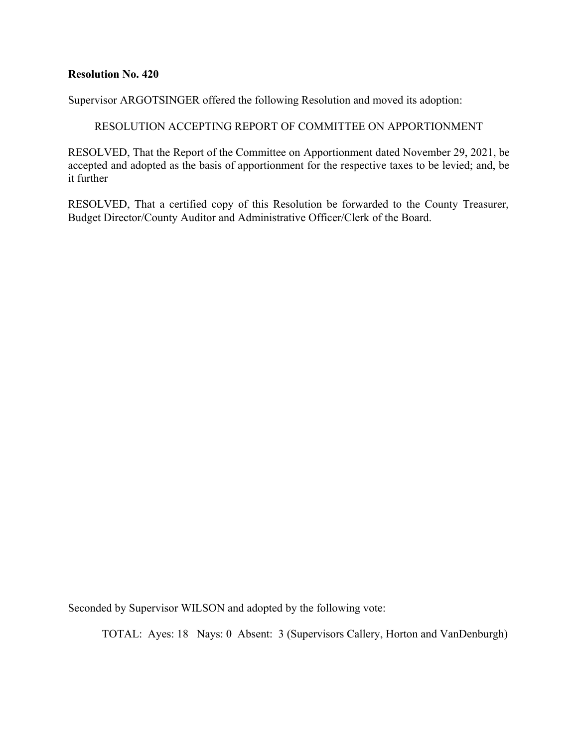Supervisor ARGOTSINGER offered the following Resolution and moved its adoption:

RESOLUTION ACCEPTING REPORT OF COMMITTEE ON APPORTIONMENT

RESOLVED, That the Report of the Committee on Apportionment dated November 29, 2021, be accepted and adopted as the basis of apportionment for the respective taxes to be levied; and, be it further

RESOLVED, That a certified copy of this Resolution be forwarded to the County Treasurer, Budget Director/County Auditor and Administrative Officer/Clerk of the Board.

Seconded by Supervisor WILSON and adopted by the following vote: